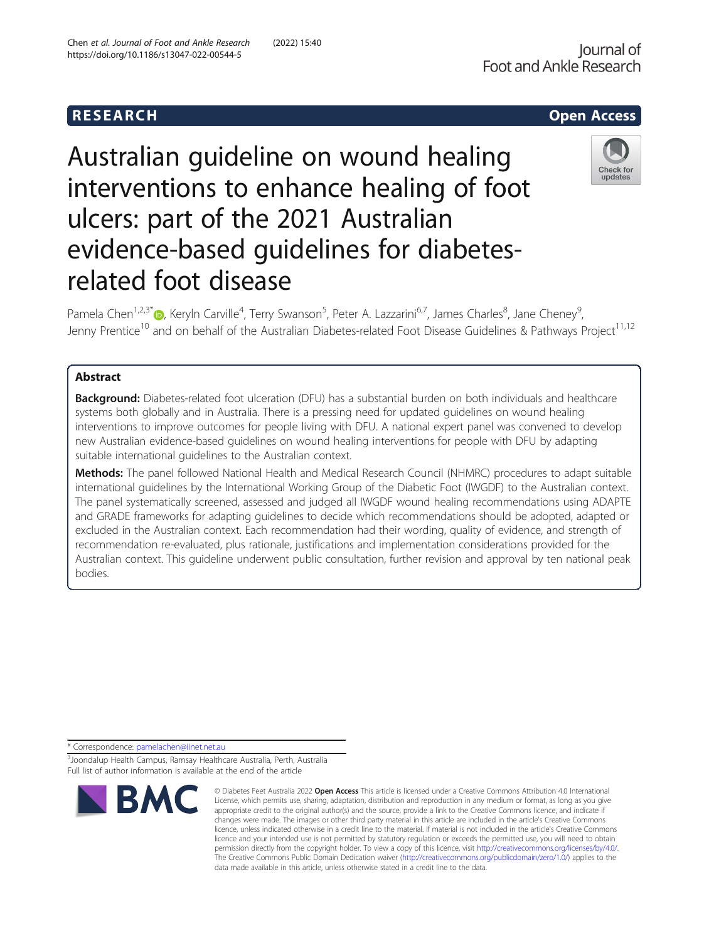# Australian guideline on wound healing interventions to enhance healing of foot ulcers: part of the 2021 Australian evidence-based guidelines for diabetesrelated foot disease

Pamela Chen<sup>1[,](http://orcid.org/0000-0001-8082-5050)2,3\*</sup>®, Keryln Carville<sup>4</sup>, Terry Swanson<sup>5</sup>, Peter A. Lazzarini<sup>6,7</sup>, James Charles<sup>8</sup>, Jane Cheney<sup>9</sup> , Jenny Prentice<sup>10</sup> and on behalf of the Australian Diabetes-related Foot Disease Guidelines & Pathways Project<sup>11,12</sup>

# Abstract

**Background:** Diabetes-related foot ulceration (DFU) has a substantial burden on both individuals and healthcare systems both globally and in Australia. There is a pressing need for updated guidelines on wound healing interventions to improve outcomes for people living with DFU. A national expert panel was convened to develop new Australian evidence-based guidelines on wound healing interventions for people with DFU by adapting suitable international guidelines to the Australian context.

Methods: The panel followed National Health and Medical Research Council (NHMRC) procedures to adapt suitable international guidelines by the International Working Group of the Diabetic Foot (IWGDF) to the Australian context. The panel systematically screened, assessed and judged all IWGDF wound healing recommendations using ADAPTE and GRADE frameworks for adapting guidelines to decide which recommendations should be adopted, adapted or excluded in the Australian context. Each recommendation had their wording, quality of evidence, and strength of recommendation re-evaluated, plus rationale, justifications and implementation considerations provided for the Australian context. This guideline underwent public consultation, further revision and approval by ten national peak bodies.

\* Correspondence: [pamelachen@iinet.net.au](mailto:pamelachen@iinet.net.au)

<sup>3</sup> Joondalup Health Campus, Ramsay Healthcare Australia, Perth, Australia Full list of author information is available at the end of the article

Check for updates



R E S EAR CH Open Access

**BMC** 

<sup>©</sup> Diabetes Feet Australia 2022 Open Access This article is licensed under a Creative Commons Attribution 4.0 International License, which permits use, sharing, adaptation, distribution and reproduction in any medium or format, as long as you give appropriate credit to the original author(s) and the source, provide a link to the Creative Commons licence, and indicate if changes were made. The images or other third party material in this article are included in the article's Creative Commons licence, unless indicated otherwise in a credit line to the material. If material is not included in the article's Creative Commons licence and your intended use is not permitted by statutory regulation or exceeds the permitted use, you will need to obtain permission directly from the copyright holder. To view a copy of this licence, visit [http://creativecommons.org/licenses/by/4.0/.](http://creativecommons.org/licenses/by/4.0/) The Creative Commons Public Domain Dedication waiver [\(http://creativecommons.org/publicdomain/zero/1.0/](http://creativecommons.org/publicdomain/zero/1.0/)) applies to the data made available in this article, unless otherwise stated in a credit line to the data.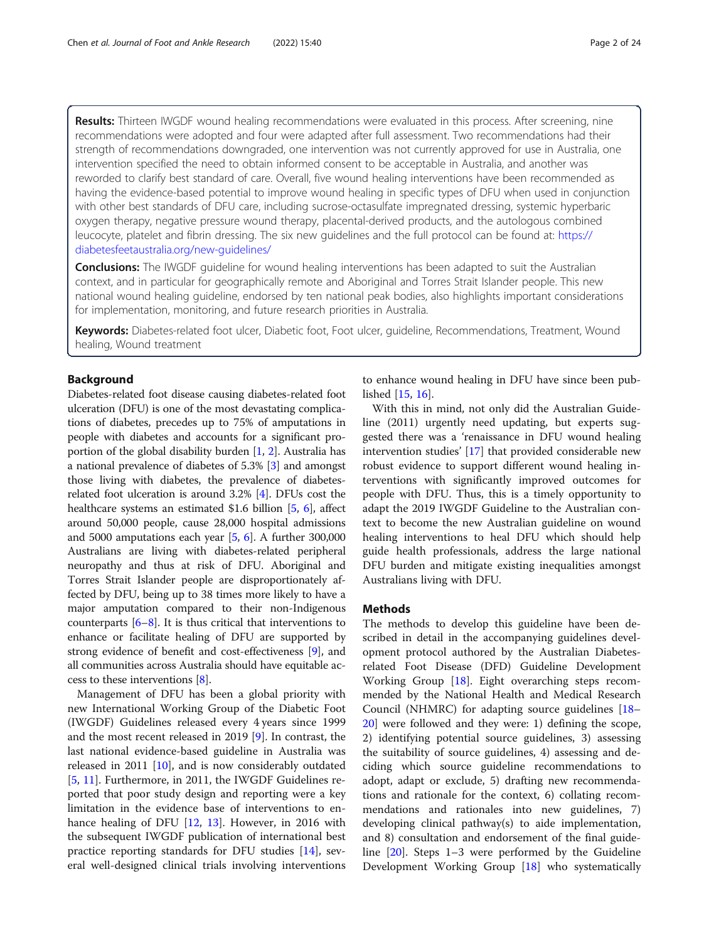Results: Thirteen IWGDF wound healing recommendations were evaluated in this process. After screening, nine recommendations were adopted and four were adapted after full assessment. Two recommendations had their strength of recommendations downgraded, one intervention was not currently approved for use in Australia, one intervention specified the need to obtain informed consent to be acceptable in Australia, and another was reworded to clarify best standard of care. Overall, five wound healing interventions have been recommended as having the evidence-based potential to improve wound healing in specific types of DFU when used in conjunction with other best standards of DFU care, including sucrose-octasulfate impregnated dressing, systemic hyperbaric oxygen therapy, negative pressure wound therapy, placental-derived products, and the autologous combined leucocyte, platelet and fibrin dressing. The six new guidelines and the full protocol can be found at: [https://](https://diabetesfeetaustralia.org/new-guidelines/) [diabetesfeetaustralia.org/new-guidelines/](https://diabetesfeetaustralia.org/new-guidelines/)

**Conclusions:** The IWGDF guideline for wound healing interventions has been adapted to suit the Australian context, and in particular for geographically remote and Aboriginal and Torres Strait Islander people. This new national wound healing guideline, endorsed by ten national peak bodies, also highlights important considerations for implementation, monitoring, and future research priorities in Australia.

Keywords: Diabetes-related foot ulcer, Diabetic foot, Foot ulcer, guideline, Recommendations, Treatment, Wound healing, Wound treatment

# Background

Diabetes-related foot disease causing diabetes-related foot ulceration (DFU) is one of the most devastating complications of diabetes, precedes up to 75% of amputations in people with diabetes and accounts for a significant proportion of the global disability burden [\[1](#page-22-0), [2](#page-22-0)]. Australia has a national prevalence of diabetes of 5.3% [\[3](#page-22-0)] and amongst those living with diabetes, the prevalence of diabetesrelated foot ulceration is around 3.2% [\[4\]](#page-22-0). DFUs cost the healthcare systems an estimated \$1.6 billion [\[5](#page-22-0), [6\]](#page-22-0), affect around 50,000 people, cause 28,000 hospital admissions and 5000 amputations each year [[5,](#page-22-0) [6\]](#page-22-0). A further 300,000 Australians are living with diabetes-related peripheral neuropathy and thus at risk of DFU. Aboriginal and Torres Strait Islander people are disproportionately affected by DFU, being up to 38 times more likely to have a major amputation compared to their non-Indigenous counterparts  $[6–8]$  $[6–8]$  $[6–8]$  $[6–8]$  $[6–8]$ . It is thus critical that interventions to enhance or facilitate healing of DFU are supported by strong evidence of benefit and cost-effectiveness [[9\]](#page-22-0), and all communities across Australia should have equitable access to these interventions [\[8](#page-22-0)].

Management of DFU has been a global priority with new International Working Group of the Diabetic Foot (IWGDF) Guidelines released every 4 years since 1999 and the most recent released in 2019 [[9\]](#page-22-0). In contrast, the last national evidence-based guideline in Australia was released in 2011 [\[10](#page-22-0)], and is now considerably outdated [[5,](#page-22-0) [11\]](#page-22-0). Furthermore, in 2011, the IWGDF Guidelines reported that poor study design and reporting were a key limitation in the evidence base of interventions to enhance healing of DFU [[12,](#page-22-0) [13\]](#page-22-0). However, in 2016 with the subsequent IWGDF publication of international best practice reporting standards for DFU studies [[14\]](#page-22-0), several well-designed clinical trials involving interventions

to enhance wound healing in DFU have since been published [[15](#page-22-0), [16](#page-22-0)].

With this in mind, not only did the Australian Guideline (2011) urgently need updating, but experts suggested there was a 'renaissance in DFU wound healing intervention studies' [[17\]](#page-22-0) that provided considerable new robust evidence to support different wound healing interventions with significantly improved outcomes for people with DFU. Thus, this is a timely opportunity to adapt the 2019 IWGDF Guideline to the Australian context to become the new Australian guideline on wound healing interventions to heal DFU which should help guide health professionals, address the large national DFU burden and mitigate existing inequalities amongst Australians living with DFU.

# Methods

The methods to develop this guideline have been described in detail in the accompanying guidelines development protocol authored by the Australian Diabetesrelated Foot Disease (DFD) Guideline Development Working Group [[18\]](#page-22-0). Eight overarching steps recommended by the National Health and Medical Research Council (NHMRC) for adapting source guidelines [[18](#page-22-0)– [20\]](#page-22-0) were followed and they were: 1) defining the scope, 2) identifying potential source guidelines, 3) assessing the suitability of source guidelines, 4) assessing and deciding which source guideline recommendations to adopt, adapt or exclude, 5) drafting new recommendations and rationale for the context, 6) collating recommendations and rationales into new guidelines, 7) developing clinical pathway(s) to aide implementation, and 8) consultation and endorsement of the final guideline [[20\]](#page-22-0). Steps 1–3 were performed by the Guideline Development Working Group [\[18](#page-22-0)] who systematically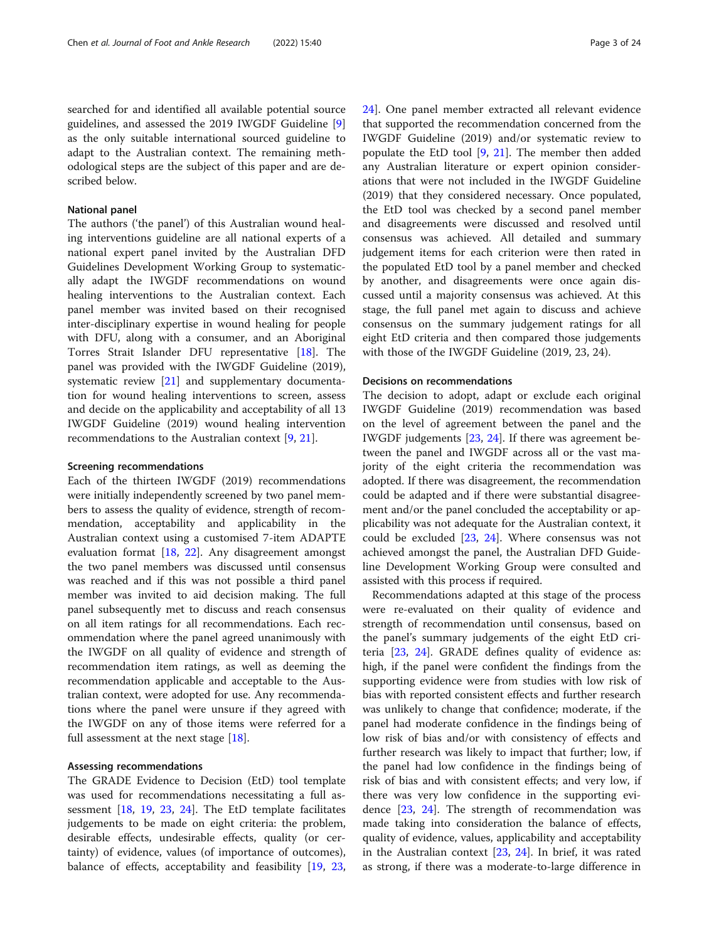searched for and identified all available potential source guidelines, and assessed the 2019 IWGDF Guideline [\[9](#page-22-0)] as the only suitable international sourced guideline to adapt to the Australian context. The remaining methodological steps are the subject of this paper and are described below.

#### National panel

The authors ('the panel') of this Australian wound healing interventions guideline are all national experts of a national expert panel invited by the Australian DFD Guidelines Development Working Group to systematically adapt the IWGDF recommendations on wound healing interventions to the Australian context. Each panel member was invited based on their recognised inter-disciplinary expertise in wound healing for people with DFU, along with a consumer, and an Aboriginal Torres Strait Islander DFU representative [\[18](#page-22-0)]. The panel was provided with the IWGDF Guideline (2019), systematic review [\[21](#page-22-0)] and supplementary documentation for wound healing interventions to screen, assess and decide on the applicability and acceptability of all 13 IWGDF Guideline (2019) wound healing intervention recommendations to the Australian context [[9,](#page-22-0) [21\]](#page-22-0).

#### Screening recommendations

Each of the thirteen IWGDF (2019) recommendations were initially independently screened by two panel members to assess the quality of evidence, strength of recommendation, acceptability and applicability in the Australian context using a customised 7-item ADAPTE evaluation format [[18](#page-22-0), [22](#page-22-0)]. Any disagreement amongst the two panel members was discussed until consensus was reached and if this was not possible a third panel member was invited to aid decision making. The full panel subsequently met to discuss and reach consensus on all item ratings for all recommendations. Each recommendation where the panel agreed unanimously with the IWGDF on all quality of evidence and strength of recommendation item ratings, as well as deeming the recommendation applicable and acceptable to the Australian context, were adopted for use. Any recommendations where the panel were unsure if they agreed with the IWGDF on any of those items were referred for a full assessment at the next stage [[18](#page-22-0)].

#### Assessing recommendations

The GRADE Evidence to Decision (EtD) tool template was used for recommendations necessitating a full assessment [\[18](#page-22-0), [19,](#page-22-0) [23](#page-23-0), [24\]](#page-23-0). The EtD template facilitates judgements to be made on eight criteria: the problem, desirable effects, undesirable effects, quality (or certainty) of evidence, values (of importance of outcomes), balance of effects, acceptability and feasibility [\[19](#page-22-0), [23](#page-23-0), [24\]](#page-23-0). One panel member extracted all relevant evidence that supported the recommendation concerned from the IWGDF Guideline (2019) and/or systematic review to populate the EtD tool  $[9, 21]$  $[9, 21]$  $[9, 21]$  $[9, 21]$ . The member then added any Australian literature or expert opinion considerations that were not included in the IWGDF Guideline (2019) that they considered necessary. Once populated, the EtD tool was checked by a second panel member and disagreements were discussed and resolved until consensus was achieved. All detailed and summary judgement items for each criterion were then rated in the populated EtD tool by a panel member and checked by another, and disagreements were once again discussed until a majority consensus was achieved. At this stage, the full panel met again to discuss and achieve consensus on the summary judgement ratings for all eight EtD criteria and then compared those judgements with those of the IWGDF Guideline (2019, 23, 24).

#### Decisions on recommendations

The decision to adopt, adapt or exclude each original IWGDF Guideline (2019) recommendation was based on the level of agreement between the panel and the IWGDF judgements [\[23,](#page-23-0) [24](#page-23-0)]. If there was agreement between the panel and IWGDF across all or the vast majority of the eight criteria the recommendation was adopted. If there was disagreement, the recommendation could be adapted and if there were substantial disagreement and/or the panel concluded the acceptability or applicability was not adequate for the Australian context, it could be excluded [\[23](#page-23-0), [24\]](#page-23-0). Where consensus was not achieved amongst the panel, the Australian DFD Guideline Development Working Group were consulted and assisted with this process if required.

Recommendations adapted at this stage of the process were re-evaluated on their quality of evidence and strength of recommendation until consensus, based on the panel's summary judgements of the eight EtD criteria [\[23](#page-23-0), [24\]](#page-23-0). GRADE defines quality of evidence as: high, if the panel were confident the findings from the supporting evidence were from studies with low risk of bias with reported consistent effects and further research was unlikely to change that confidence; moderate, if the panel had moderate confidence in the findings being of low risk of bias and/or with consistency of effects and further research was likely to impact that further; low, if the panel had low confidence in the findings being of risk of bias and with consistent effects; and very low, if there was very low confidence in the supporting evidence [\[23,](#page-23-0) [24](#page-23-0)]. The strength of recommendation was made taking into consideration the balance of effects, quality of evidence, values, applicability and acceptability in the Australian context [\[23,](#page-23-0) [24\]](#page-23-0). In brief, it was rated as strong, if there was a moderate-to-large difference in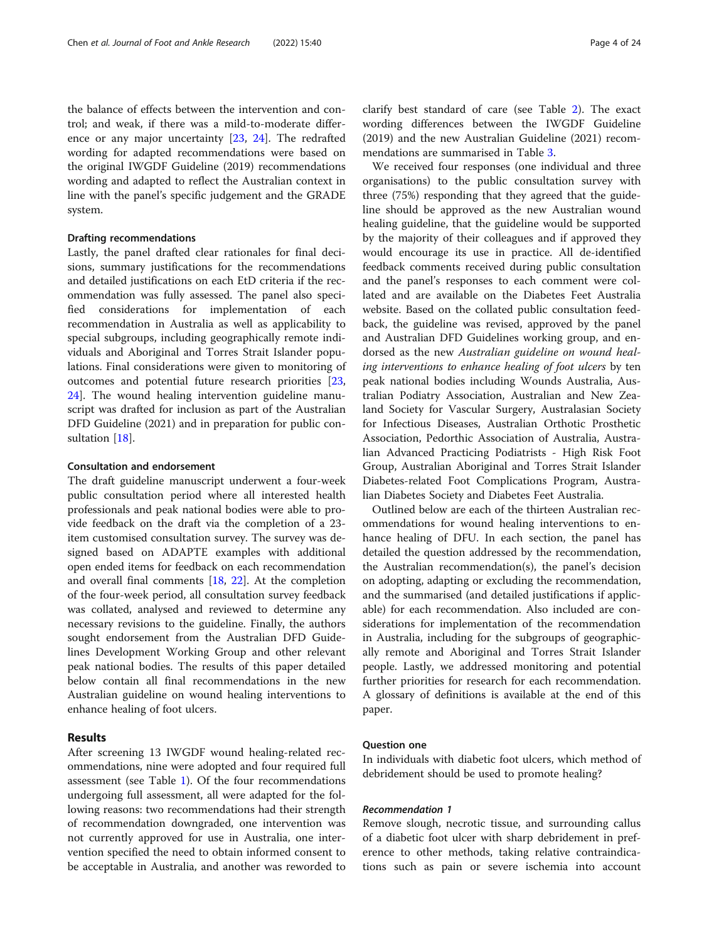the balance of effects between the intervention and control; and weak, if there was a mild-to-moderate difference or any major uncertainty [[23,](#page-23-0) [24](#page-23-0)]. The redrafted wording for adapted recommendations were based on the original IWGDF Guideline (2019) recommendations wording and adapted to reflect the Australian context in line with the panel's specific judgement and the GRADE system.

# Drafting recommendations

Lastly, the panel drafted clear rationales for final decisions, summary justifications for the recommendations and detailed justifications on each EtD criteria if the recommendation was fully assessed. The panel also specified considerations for implementation of each recommendation in Australia as well as applicability to special subgroups, including geographically remote individuals and Aboriginal and Torres Strait Islander populations. Final considerations were given to monitoring of outcomes and potential future research priorities [[23](#page-23-0), [24\]](#page-23-0). The wound healing intervention guideline manuscript was drafted for inclusion as part of the Australian DFD Guideline (2021) and in preparation for public consultation [\[18](#page-22-0)].

#### Consultation and endorsement

The draft guideline manuscript underwent a four-week public consultation period where all interested health professionals and peak national bodies were able to provide feedback on the draft via the completion of a 23 item customised consultation survey. The survey was designed based on ADAPTE examples with additional open ended items for feedback on each recommendation and overall final comments [\[18](#page-22-0), [22](#page-22-0)]. At the completion of the four-week period, all consultation survey feedback was collated, analysed and reviewed to determine any necessary revisions to the guideline. Finally, the authors sought endorsement from the Australian DFD Guidelines Development Working Group and other relevant peak national bodies. The results of this paper detailed below contain all final recommendations in the new Australian guideline on wound healing interventions to enhance healing of foot ulcers.

# Results

After screening 13 IWGDF wound healing-related recommendations, nine were adopted and four required full assessment (see Table [1\)](#page-4-0). Of the four recommendations undergoing full assessment, all were adapted for the following reasons: two recommendations had their strength of recommendation downgraded, one intervention was not currently approved for use in Australia, one intervention specified the need to obtain informed consent to be acceptable in Australia, and another was reworded to clarify best standard of care (see Table [2\)](#page-5-0). The exact wording differences between the IWGDF Guideline (2019) and the new Australian Guideline (2021) recommendations are summarised in Table [3.](#page-6-0)

We received four responses (one individual and three organisations) to the public consultation survey with three (75%) responding that they agreed that the guideline should be approved as the new Australian wound healing guideline, that the guideline would be supported by the majority of their colleagues and if approved they would encourage its use in practice. All de-identified feedback comments received during public consultation and the panel's responses to each comment were collated and are available on the Diabetes Feet Australia website. Based on the collated public consultation feedback, the guideline was revised, approved by the panel and Australian DFD Guidelines working group, and endorsed as the new Australian guideline on wound healing interventions to enhance healing of foot ulcers by ten peak national bodies including Wounds Australia, Australian Podiatry Association, Australian and New Zealand Society for Vascular Surgery, Australasian Society for Infectious Diseases, Australian Orthotic Prosthetic Association, Pedorthic Association of Australia, Australian Advanced Practicing Podiatrists - High Risk Foot Group, Australian Aboriginal and Torres Strait Islander Diabetes-related Foot Complications Program, Australian Diabetes Society and Diabetes Feet Australia.

Outlined below are each of the thirteen Australian recommendations for wound healing interventions to enhance healing of DFU. In each section, the panel has detailed the question addressed by the recommendation, the Australian recommendation(s), the panel's decision on adopting, adapting or excluding the recommendation, and the summarised (and detailed justifications if applicable) for each recommendation. Also included are considerations for implementation of the recommendation in Australia, including for the subgroups of geographically remote and Aboriginal and Torres Strait Islander people. Lastly, we addressed monitoring and potential further priorities for research for each recommendation. A glossary of definitions is available at the end of this paper.

# Question one

In individuals with diabetic foot ulcers, which method of debridement should be used to promote healing?

# Recommendation 1

Remove slough, necrotic tissue, and surrounding callus of a diabetic foot ulcer with sharp debridement in preference to other methods, taking relative contraindications such as pain or severe ischemia into account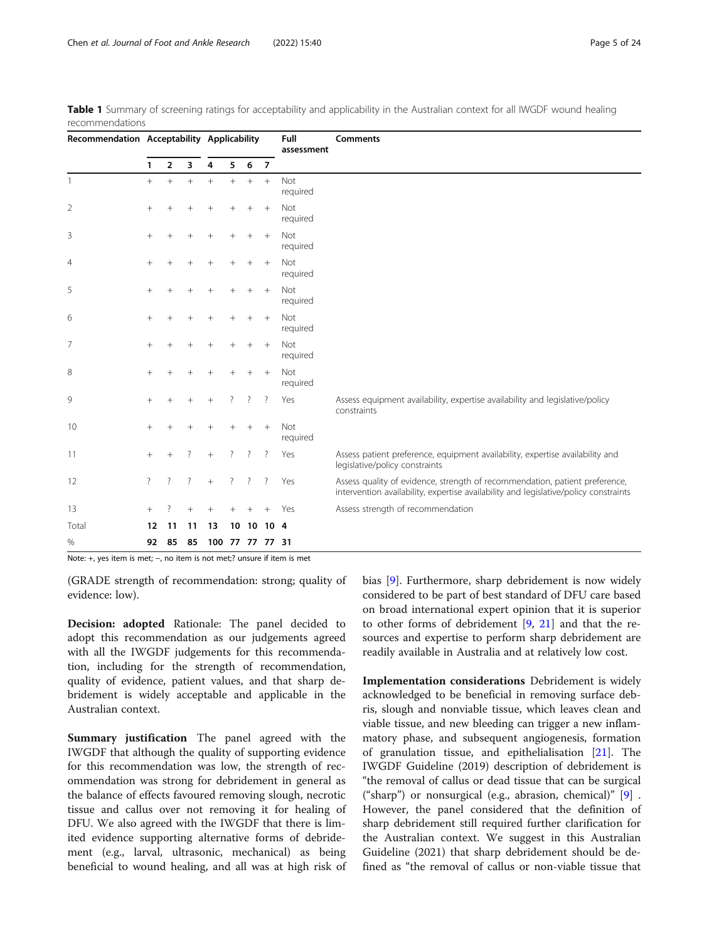| Recommendation Acceptability Applicability |                    |                |                    |                 |                    |        |                    | Full<br>assessment | <b>Comments</b>                                                                                                                                                     |  |  |  |  |
|--------------------------------------------|--------------------|----------------|--------------------|-----------------|--------------------|--------|--------------------|--------------------|---------------------------------------------------------------------------------------------------------------------------------------------------------------------|--|--|--|--|
|                                            | 1                  | $\overline{2}$ | 3                  | 4               | 5                  | 6      | $\overline{7}$     |                    |                                                                                                                                                                     |  |  |  |  |
| 1                                          | $^{+}$             | $^{+}$         | $^{+}$             | $+$             | $+$                | $+$    | $^{+}$             | Not<br>required    |                                                                                                                                                                     |  |  |  |  |
| 2                                          | $^{+}$             | $^{+}$         |                    | $^{+}$          | $^{+}$             | $^{+}$ | $+$                | Not<br>required    |                                                                                                                                                                     |  |  |  |  |
| 3                                          | $^{+}$             |                |                    | $^{+}$          |                    | $^{+}$ | $^{+}$             | Not<br>required    |                                                                                                                                                                     |  |  |  |  |
| 4                                          | $\! + \!\!\!\!$    |                |                    | $^{+}$          | $^+$               | $^{+}$ | $^{+}$             | Not<br>required    |                                                                                                                                                                     |  |  |  |  |
| 5                                          | $\,+\,$            |                |                    |                 |                    | $^{+}$ | $^{+}$             | Not<br>required    |                                                                                                                                                                     |  |  |  |  |
| 6                                          | $^{+}$             |                |                    |                 |                    | $^{+}$ | $^{+}$             | Not<br>required    |                                                                                                                                                                     |  |  |  |  |
| 7                                          | $+$                |                |                    |                 |                    | $^{+}$ | $+$                | Not<br>required    |                                                                                                                                                                     |  |  |  |  |
| 8                                          | $\! + \!\!\!\!$    | $^{+}$         | $^{+}$             | $^{+}$          | $^+$               |        | $+$                | Not<br>required    |                                                                                                                                                                     |  |  |  |  |
| 9                                          | $^{+}$             |                |                    | $^{+}$          | ?                  | ?      | ?                  | Yes                | Assess equipment availability, expertise availability and legislative/policy<br>constraints                                                                         |  |  |  |  |
| 10                                         | $\! + \!\!\!\!$    | $^+$           | $^{+}$             | $^{+}$          | $^{+}$             | $^{+}$ | $^{+}$             | Not<br>required    |                                                                                                                                                                     |  |  |  |  |
| 11                                         | $^{+}$             |                | 7                  | $^{+}$          | ?                  | 7      | ?                  | Yes                | Assess patient preference, equipment availability, expertise availability and<br>legislative/policy constraints                                                     |  |  |  |  |
| 12                                         | $\overline{\cdot}$ | ?              | $\overline{\cdot}$ | $+$             | $\overline{\cdot}$ | ?      | $\overline{\cdot}$ | Yes                | Assess quality of evidence, strength of recommendation, patient preference,<br>intervention availability, expertise availability and legislative/policy constraints |  |  |  |  |
| 13                                         | $^{+}$             |                |                    |                 |                    |        |                    | Yes                | Assess strength of recommendation                                                                                                                                   |  |  |  |  |
| Total                                      | 12                 | 11             | 11                 | 13              | 10                 | 10     | 10 <sub>4</sub>    |                    |                                                                                                                                                                     |  |  |  |  |
| $\%$                                       | 92                 | 85             | 85                 | 100 77 77 77 31 |                    |        |                    |                    |                                                                                                                                                                     |  |  |  |  |

<span id="page-4-0"></span>

|                 |  | Table 1 Summary of screening ratings for acceptability and applicability in the Australian context for all IWGDF wound healing |  |  |  |  |  |
|-----------------|--|--------------------------------------------------------------------------------------------------------------------------------|--|--|--|--|--|
| recommendations |  |                                                                                                                                |  |  |  |  |  |

Note: +, yes item is met; −, no item is not met;? unsure if item is met

(GRADE strength of recommendation: strong; quality of evidence: low).

Decision: adopted Rationale: The panel decided to adopt this recommendation as our judgements agreed with all the IWGDF judgements for this recommendation, including for the strength of recommendation, quality of evidence, patient values, and that sharp debridement is widely acceptable and applicable in the Australian context.

Summary justification The panel agreed with the IWGDF that although the quality of supporting evidence for this recommendation was low, the strength of recommendation was strong for debridement in general as the balance of effects favoured removing slough, necrotic tissue and callus over not removing it for healing of DFU. We also agreed with the IWGDF that there is limited evidence supporting alternative forms of debridement (e.g., larval, ultrasonic, mechanical) as being beneficial to wound healing, and all was at high risk of bias [[9](#page-22-0)]. Furthermore, sharp debridement is now widely considered to be part of best standard of DFU care based on broad international expert opinion that it is superior to other forms of debridement  $[9, 21]$  $[9, 21]$  $[9, 21]$  $[9, 21]$  and that the resources and expertise to perform sharp debridement are readily available in Australia and at relatively low cost.

Implementation considerations Debridement is widely acknowledged to be beneficial in removing surface debris, slough and nonviable tissue, which leaves clean and viable tissue, and new bleeding can trigger a new inflammatory phase, and subsequent angiogenesis, formation of granulation tissue, and epithelialisation [\[21](#page-22-0)]. The IWGDF Guideline (2019) description of debridement is "the removal of callus or dead tissue that can be surgical ("sharp") or nonsurgical (e.g., abrasion, chemical)" [\[9\]](#page-22-0) . However, the panel considered that the definition of sharp debridement still required further clarification for the Australian context. We suggest in this Australian Guideline (2021) that sharp debridement should be defined as "the removal of callus or non-viable tissue that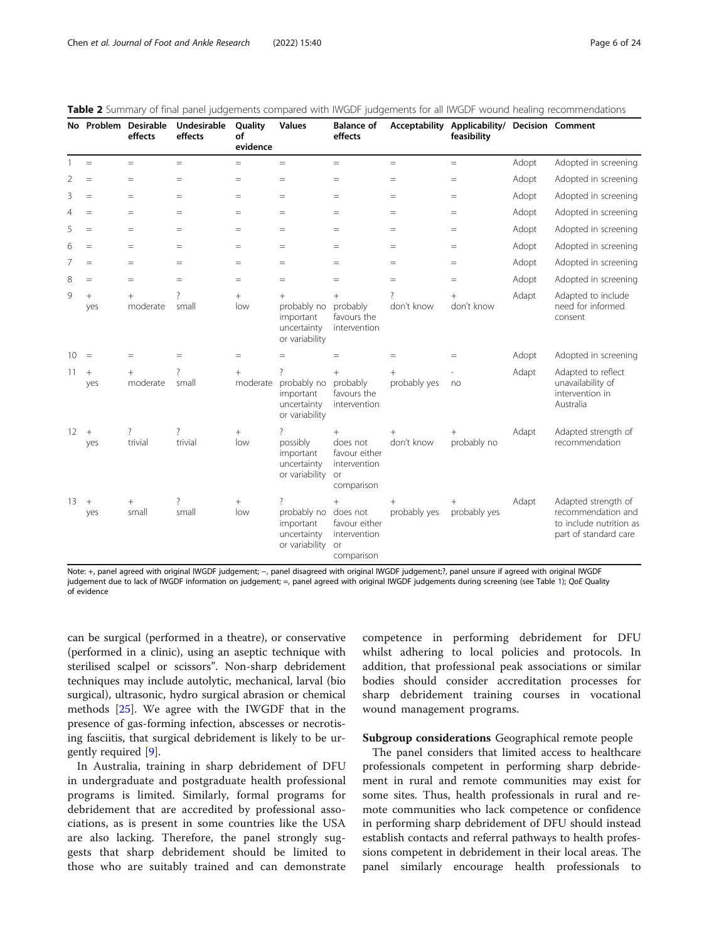|                   |               | No Problem Desirable<br>effects | <b>Undesirable</b><br>effects | Quality<br>of<br>evidence           | <b>Values</b>                                                                      | <b>Balance of</b><br>effects                                                   |                        | Acceptability Applicability/ Decision Comment<br>feasibility |       |                                                                                               |
|-------------------|---------------|---------------------------------|-------------------------------|-------------------------------------|------------------------------------------------------------------------------------|--------------------------------------------------------------------------------|------------------------|--------------------------------------------------------------|-------|-----------------------------------------------------------------------------------------------|
| 1                 | $=$           | $=$                             | $=$                           | $=$                                 | $\equiv$                                                                           | $=$                                                                            | $=$                    | $=$                                                          | Adopt | Adopted in screening                                                                          |
| 2                 | $=$           | $=$                             | $=$                           | $=$                                 | $=$                                                                                | $=$                                                                            | $=$                    | $\hspace{1.6cm} = \hspace{1.6cm}$                            | Adopt | Adopted in screening                                                                          |
| 3                 | $=$           | $=$                             | $=$                           | $=$                                 | $=$                                                                                | $=$                                                                            | $=$                    | $=$                                                          | Adopt | Adopted in screening                                                                          |
| 4                 | $=$           | $=$                             | $=$                           | $=$                                 | $=$                                                                                | $=$                                                                            | $=$                    | $=$                                                          | Adopt | Adopted in screening                                                                          |
| 5                 | $=$           | $=$                             | $=$                           | $=$                                 | $=$                                                                                | $=$                                                                            | $=$                    | $=$                                                          | Adopt | Adopted in screening                                                                          |
| 6                 | $=$           | $=$                             | $=$                           | $=$                                 | $=$                                                                                | $=$                                                                            | $=$                    | $\hspace*{0.4em} = \hspace*{0.4em}$                          | Adopt | Adopted in screening                                                                          |
| 7                 | $=$           | $=$                             | $=$                           | $\hspace{1.6cm} = \hspace{1.6cm}$   | $=$                                                                                | $=$                                                                            | $=$                    | $=$                                                          | Adopt | Adopted in screening                                                                          |
| 8                 | $=$           | $=$                             | $=$                           | $=$                                 | $=$                                                                                | $=$                                                                            | $=$                    | $=$                                                          | Adopt | Adopted in screening                                                                          |
| 9                 | $^{+}$<br>yes | $^{+}$<br>moderate              | 2<br>small                    | $+$<br>low                          | $^{+}$<br>probably no<br>important<br>uncertainty<br>or variability                | $+$<br>probably<br>favours the<br>intervention                                 | don't know             | don't know                                                   | Adapt | Adapted to include<br>need for informed<br>consent                                            |
| 10                | $=$           | $=$                             | $=$                           | $\hspace*{0.4em} = \hspace*{0.4em}$ | $=$                                                                                | $=$                                                                            | $=$                    | $=$                                                          | Adopt | Adopted in screening                                                                          |
| 11                | $+$<br>yes    | $^{+}$<br>moderate              | ?<br>small                    | $+$<br>moderate                     | ?<br>probably no<br>important<br>uncertainty<br>or variability                     | $^{+}$<br>probably<br>favours the<br>intervention                              | $^{+}$<br>probably yes | no                                                           | Adapt | Adapted to reflect<br>unavailability of<br>intervention in<br>Australia                       |
| $12 \overline{ }$ | $+$<br>yes    | ?<br>trivial                    | ?<br>trivial                  | $^{+}$<br>low                       | $\overline{\phantom{a}}$<br>possibly<br>important<br>uncertainty<br>or variability | $^{+}$<br>does not<br>favour either<br>intervention<br>or<br>comparison        | $+$<br>don't know      | $^{+}$<br>probably no                                        | Adapt | Adapted strength of<br>recommendation                                                         |
| 13                | $+$<br>yes    | $^{+}$<br>small                 | ?<br>small                    | $^{+}$<br>low                       | ?<br>probably no<br>important<br>uncertainty<br>or variability                     | $^{+}$<br>does not<br>favour either<br>intervention<br><b>or</b><br>comparison | $^{+}$<br>probably yes | $^{+}$<br>probably yes                                       | Adapt | Adapted strength of<br>recommendation and<br>to include nutrition as<br>part of standard care |

<span id="page-5-0"></span>

|  | Table 2 Summary of final panel judgements compared with IWGDF judgements for all IWGDF wound healing recommendations |  |  |  |  |  |  |  |  |  |
|--|----------------------------------------------------------------------------------------------------------------------|--|--|--|--|--|--|--|--|--|
|--|----------------------------------------------------------------------------------------------------------------------|--|--|--|--|--|--|--|--|--|

Note: +, panel agreed with original IWGDF judgement; −, panel disagreed with original IWGDF judgement;?, panel unsure if agreed with original IWGDF judgement due to lack of IWGDF information on judgement; =, panel agreed with original IWGDF judgements during screening (see Table [1](#page-4-0)); QoE Quality of evidence

can be surgical (performed in a theatre), or conservative (performed in a clinic), using an aseptic technique with sterilised scalpel or scissors". Non-sharp debridement techniques may include autolytic, mechanical, larval (bio surgical), ultrasonic, hydro surgical abrasion or chemical methods [[25\]](#page-23-0). We agree with the IWGDF that in the presence of gas-forming infection, abscesses or necrotising fasciitis, that surgical debridement is likely to be urgently required [[9\]](#page-22-0).

In Australia, training in sharp debridement of DFU in undergraduate and postgraduate health professional programs is limited. Similarly, formal programs for debridement that are accredited by professional associations, as is present in some countries like the USA are also lacking. Therefore, the panel strongly suggests that sharp debridement should be limited to those who are suitably trained and can demonstrate

competence in performing debridement for DFU whilst adhering to local policies and protocols. In addition, that professional peak associations or similar bodies should consider accreditation processes for sharp debridement training courses in vocational wound management programs.

# Subgroup considerations Geographical remote people

The panel considers that limited access to healthcare professionals competent in performing sharp debridement in rural and remote communities may exist for some sites. Thus, health professionals in rural and remote communities who lack competence or confidence in performing sharp debridement of DFU should instead establish contacts and referral pathways to health professions competent in debridement in their local areas. The panel similarly encourage health professionals to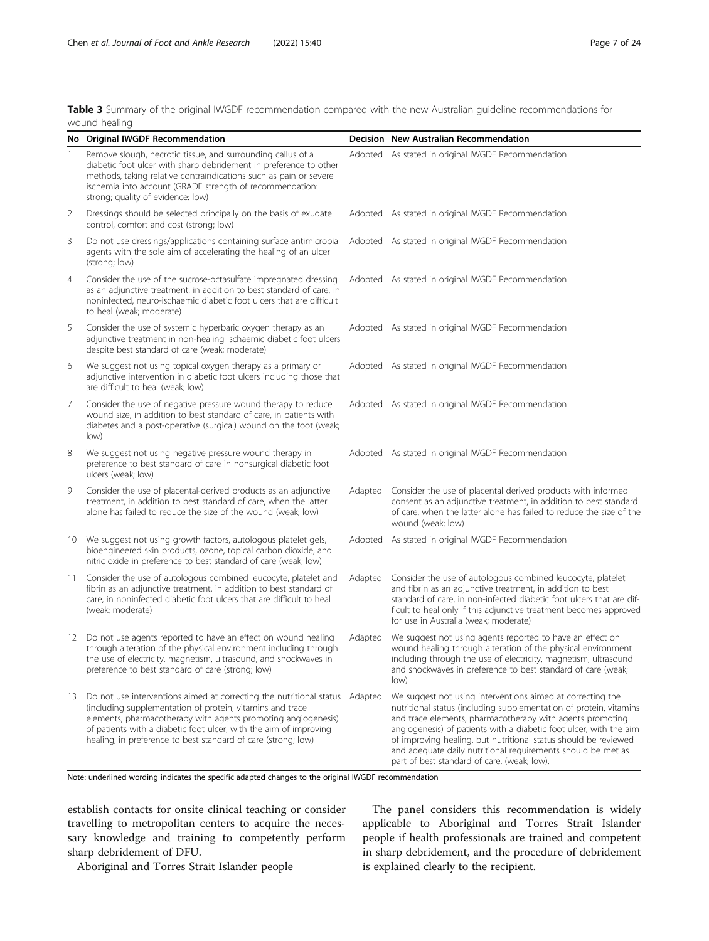<span id="page-6-0"></span>Table 3 Summary of the original IWGDF recommendation compared with the new Australian guideline recommendations for wound healing

|                | No Original IWGDF Recommendation                                                                                                                                                                                                                                                                                                        |         | Decision New Australian Recommendation                                                                                                                                                                                                                                                                                                                                                                                                                |
|----------------|-----------------------------------------------------------------------------------------------------------------------------------------------------------------------------------------------------------------------------------------------------------------------------------------------------------------------------------------|---------|-------------------------------------------------------------------------------------------------------------------------------------------------------------------------------------------------------------------------------------------------------------------------------------------------------------------------------------------------------------------------------------------------------------------------------------------------------|
| 1              | Remove slough, necrotic tissue, and surrounding callus of a<br>diabetic foot ulcer with sharp debridement in preference to other<br>methods, taking relative contraindications such as pain or severe<br>ischemia into account (GRADE strength of recommendation:<br>strong; quality of evidence: low)                                  |         | Adopted As stated in original IWGDF Recommendation                                                                                                                                                                                                                                                                                                                                                                                                    |
| $\overline{2}$ | Dressings should be selected principally on the basis of exudate<br>control, comfort and cost (strong; low)                                                                                                                                                                                                                             |         | Adopted As stated in original IWGDF Recommendation                                                                                                                                                                                                                                                                                                                                                                                                    |
| 3              | Do not use dressings/applications containing surface antimicrobial<br>agents with the sole aim of accelerating the healing of an ulcer<br>(strong; low)                                                                                                                                                                                 |         | Adopted As stated in original IWGDF Recommendation                                                                                                                                                                                                                                                                                                                                                                                                    |
| 4              | Consider the use of the sucrose-octasulfate impregnated dressing<br>as an adjunctive treatment, in addition to best standard of care, in<br>noninfected, neuro-ischaemic diabetic foot ulcers that are difficult<br>to heal (weak; moderate)                                                                                            |         | Adopted As stated in original IWGDF Recommendation                                                                                                                                                                                                                                                                                                                                                                                                    |
| 5              | Consider the use of systemic hyperbaric oxygen therapy as an<br>adjunctive treatment in non-healing ischaemic diabetic foot ulcers<br>despite best standard of care (weak; moderate)                                                                                                                                                    |         | Adopted As stated in original IWGDF Recommendation                                                                                                                                                                                                                                                                                                                                                                                                    |
| 6              | We suggest not using topical oxygen therapy as a primary or<br>adjunctive intervention in diabetic foot ulcers including those that<br>are difficult to heal (weak; low)                                                                                                                                                                |         | Adopted As stated in original IWGDF Recommendation                                                                                                                                                                                                                                                                                                                                                                                                    |
| 7              | Consider the use of negative pressure wound therapy to reduce<br>wound size, in addition to best standard of care, in patients with<br>diabetes and a post-operative (surgical) wound on the foot (weak;<br>low)                                                                                                                        |         | Adopted As stated in original IWGDF Recommendation                                                                                                                                                                                                                                                                                                                                                                                                    |
| 8              | We suggest not using negative pressure wound therapy in<br>preference to best standard of care in nonsurgical diabetic foot<br>ulcers (weak; low)                                                                                                                                                                                       |         | Adopted As stated in original IWGDF Recommendation                                                                                                                                                                                                                                                                                                                                                                                                    |
| 9              | Consider the use of placental-derived products as an adjunctive<br>treatment, in addition to best standard of care, when the latter<br>alone has failed to reduce the size of the wound (weak; low)                                                                                                                                     | Adapted | Consider the use of placental derived products with informed<br>consent as an adjunctive treatment, in addition to best standard<br>of care, when the latter alone has failed to reduce the size of the<br>wound (weak; low)                                                                                                                                                                                                                          |
|                | 10 We suggest not using growth factors, autologous platelet gels,<br>bioengineered skin products, ozone, topical carbon dioxide, and<br>nitric oxide in preference to best standard of care (weak; low)                                                                                                                                 |         | Adopted As stated in original IWGDF Recommendation                                                                                                                                                                                                                                                                                                                                                                                                    |
| 11             | Consider the use of autologous combined leucocyte, platelet and<br>fibrin as an adjunctive treatment, in addition to best standard of<br>care, in noninfected diabetic foot ulcers that are difficult to heal<br>(weak; moderate)                                                                                                       | Adapted | Consider the use of autologous combined leucocyte, platelet<br>and fibrin as an adjunctive treatment, in addition to best<br>standard of care, in non-infected diabetic foot ulcers that are dif-<br>ficult to heal only if this adjunctive treatment becomes approved<br>for use in Australia (weak; moderate)                                                                                                                                       |
| 12             | Do not use agents reported to have an effect on wound healing<br>through alteration of the physical environment including through<br>the use of electricity, magnetism, ultrasound, and shockwaves in<br>preference to best standard of care (strong; low)                                                                              | Adapted | We suggest not using agents reported to have an effect on<br>wound healing through alteration of the physical environment<br>including through the use of electricity, magnetism, ultrasound<br>and shockwaves in preference to best standard of care (weak;<br>low)                                                                                                                                                                                  |
| 13             | Do not use interventions aimed at correcting the nutritional status<br>(including supplementation of protein, vitamins and trace<br>elements, pharmacotherapy with agents promoting angiogenesis)<br>of patients with a diabetic foot ulcer, with the aim of improving<br>healing, in preference to best standard of care (strong; low) | Adapted | We suggest not using interventions aimed at correcting the<br>nutritional status (including supplementation of protein, vitamins<br>and trace elements, pharmacotherapy with agents promoting<br>angiogenesis) of patients with a diabetic foot ulcer, with the aim<br>of improving healing, but nutritional status should be reviewed<br>and adequate daily nutritional requirements should be met as<br>part of best standard of care. (weak; low). |

Note: underlined wording indicates the specific adapted changes to the original IWGDF recommendation

establish contacts for onsite clinical teaching or consider travelling to metropolitan centers to acquire the necessary knowledge and training to competently perform sharp debridement of DFU.

applicable to Aboriginal and Torres Strait Islander people if health professionals are trained and competent in sharp debridement, and the procedure of debridement is explained clearly to the recipient.

The panel considers this recommendation is widely

Aboriginal and Torres Strait Islander people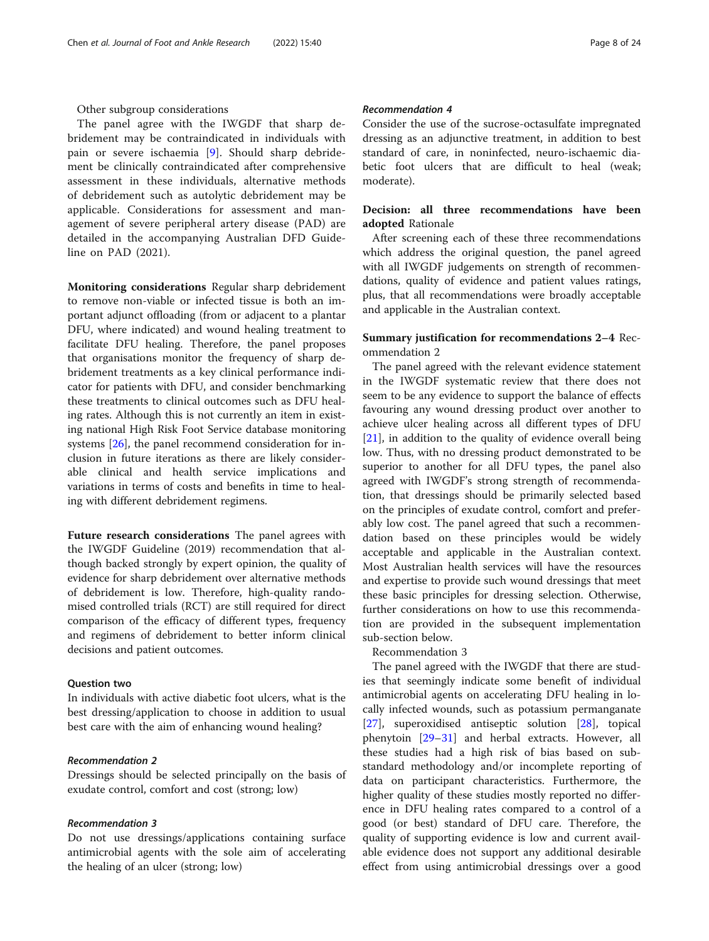#### Other subgroup considerations

The panel agree with the IWGDF that sharp debridement may be contraindicated in individuals with pain or severe ischaemia [\[9](#page-22-0)]. Should sharp debridement be clinically contraindicated after comprehensive assessment in these individuals, alternative methods of debridement such as autolytic debridement may be applicable. Considerations for assessment and management of severe peripheral artery disease (PAD) are detailed in the accompanying Australian DFD Guideline on PAD (2021).

Monitoring considerations Regular sharp debridement to remove non-viable or infected tissue is both an important adjunct offloading (from or adjacent to a plantar DFU, where indicated) and wound healing treatment to facilitate DFU healing. Therefore, the panel proposes that organisations monitor the frequency of sharp debridement treatments as a key clinical performance indicator for patients with DFU, and consider benchmarking these treatments to clinical outcomes such as DFU healing rates. Although this is not currently an item in existing national High Risk Foot Service database monitoring systems [\[26](#page-23-0)], the panel recommend consideration for inclusion in future iterations as there are likely considerable clinical and health service implications and variations in terms of costs and benefits in time to healing with different debridement regimens.

Future research considerations The panel agrees with the IWGDF Guideline (2019) recommendation that although backed strongly by expert opinion, the quality of evidence for sharp debridement over alternative methods of debridement is low. Therefore, high-quality randomised controlled trials (RCT) are still required for direct comparison of the efficacy of different types, frequency and regimens of debridement to better inform clinical decisions and patient outcomes.

#### Question two

In individuals with active diabetic foot ulcers, what is the best dressing/application to choose in addition to usual best care with the aim of enhancing wound healing?

#### Recommendation 2

Dressings should be selected principally on the basis of exudate control, comfort and cost (strong; low)

#### Recommendation 3

Do not use dressings/applications containing surface antimicrobial agents with the sole aim of accelerating the healing of an ulcer (strong; low)

# Recommendation 4

Consider the use of the sucrose-octasulfate impregnated dressing as an adjunctive treatment, in addition to best standard of care, in noninfected, neuro-ischaemic diabetic foot ulcers that are difficult to heal (weak; moderate).

# Decision: all three recommendations have been adopted Rationale

After screening each of these three recommendations which address the original question, the panel agreed with all IWGDF judgements on strength of recommendations, quality of evidence and patient values ratings, plus, that all recommendations were broadly acceptable and applicable in the Australian context.

# Summary justification for recommendations 2–4 Recommendation 2

The panel agreed with the relevant evidence statement in the IWGDF systematic review that there does not seem to be any evidence to support the balance of effects favouring any wound dressing product over another to achieve ulcer healing across all different types of DFU [[21\]](#page-22-0), in addition to the quality of evidence overall being low. Thus, with no dressing product demonstrated to be superior to another for all DFU types, the panel also agreed with IWGDF's strong strength of recommendation, that dressings should be primarily selected based on the principles of exudate control, comfort and preferably low cost. The panel agreed that such a recommendation based on these principles would be widely acceptable and applicable in the Australian context. Most Australian health services will have the resources and expertise to provide such wound dressings that meet these basic principles for dressing selection. Otherwise, further considerations on how to use this recommendation are provided in the subsequent implementation sub-section below.

#### Recommendation 3

The panel agreed with the IWGDF that there are studies that seemingly indicate some benefit of individual antimicrobial agents on accelerating DFU healing in locally infected wounds, such as potassium permanganate [[27\]](#page-23-0), superoxidised antiseptic solution [[28\]](#page-23-0), topical phenytoin [\[29](#page-23-0)–[31\]](#page-23-0) and herbal extracts. However, all these studies had a high risk of bias based on substandard methodology and/or incomplete reporting of data on participant characteristics. Furthermore, the higher quality of these studies mostly reported no difference in DFU healing rates compared to a control of a good (or best) standard of DFU care. Therefore, the quality of supporting evidence is low and current available evidence does not support any additional desirable effect from using antimicrobial dressings over a good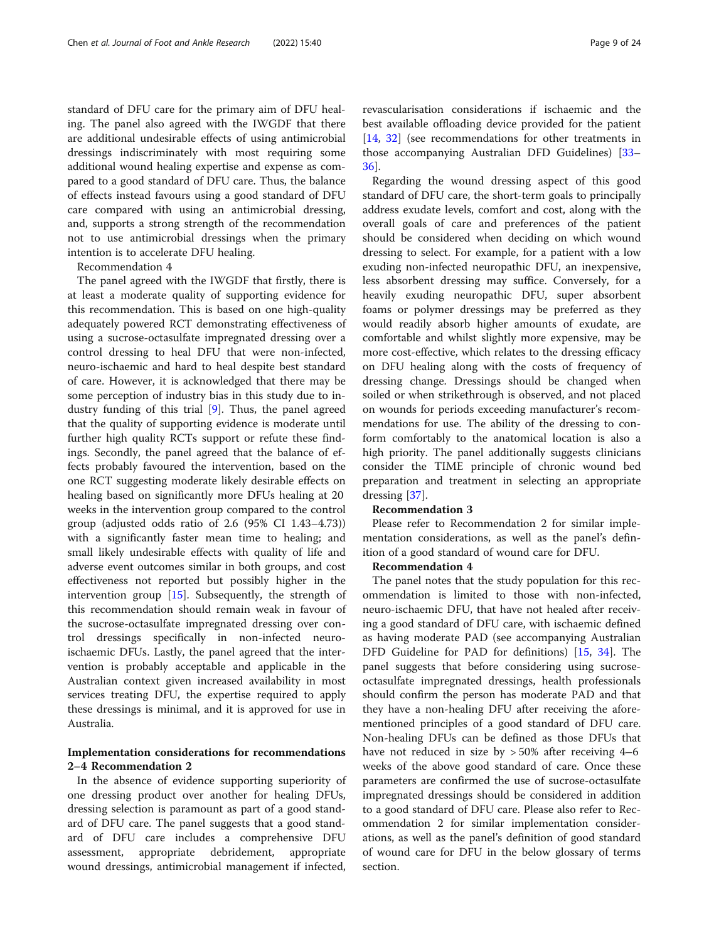standard of DFU care for the primary aim of DFU healing. The panel also agreed with the IWGDF that there are additional undesirable effects of using antimicrobial dressings indiscriminately with most requiring some additional wound healing expertise and expense as compared to a good standard of DFU care. Thus, the balance of effects instead favours using a good standard of DFU care compared with using an antimicrobial dressing, and, supports a strong strength of the recommendation not to use antimicrobial dressings when the primary intention is to accelerate DFU healing.

Recommendation 4

The panel agreed with the IWGDF that firstly, there is at least a moderate quality of supporting evidence for this recommendation. This is based on one high-quality adequately powered RCT demonstrating effectiveness of using a sucrose-octasulfate impregnated dressing over a control dressing to heal DFU that were non-infected, neuro-ischaemic and hard to heal despite best standard of care. However, it is acknowledged that there may be some perception of industry bias in this study due to industry funding of this trial [[9\]](#page-22-0). Thus, the panel agreed that the quality of supporting evidence is moderate until further high quality RCTs support or refute these findings. Secondly, the panel agreed that the balance of effects probably favoured the intervention, based on the one RCT suggesting moderate likely desirable effects on healing based on significantly more DFUs healing at 20 weeks in the intervention group compared to the control group (adjusted odds ratio of 2.6 (95% CI 1.43–4.73)) with a significantly faster mean time to healing; and small likely undesirable effects with quality of life and adverse event outcomes similar in both groups, and cost effectiveness not reported but possibly higher in the intervention group [[15\]](#page-22-0). Subsequently, the strength of this recommendation should remain weak in favour of the sucrose-octasulfate impregnated dressing over control dressings specifically in non-infected neuroischaemic DFUs. Lastly, the panel agreed that the intervention is probably acceptable and applicable in the Australian context given increased availability in most services treating DFU, the expertise required to apply these dressings is minimal, and it is approved for use in Australia.

# Implementation considerations for recommendations 2–4 Recommendation 2

In the absence of evidence supporting superiority of one dressing product over another for healing DFUs, dressing selection is paramount as part of a good standard of DFU care. The panel suggests that a good standard of DFU care includes a comprehensive DFU assessment, appropriate debridement, appropriate wound dressings, antimicrobial management if infected, revascularisation considerations if ischaemic and the best available offloading device provided for the patient [[14,](#page-22-0) [32](#page-23-0)] (see recommendations for other treatments in those accompanying Australian DFD Guidelines) [[33](#page-23-0)– [36\]](#page-23-0).

Regarding the wound dressing aspect of this good standard of DFU care, the short-term goals to principally address exudate levels, comfort and cost, along with the overall goals of care and preferences of the patient should be considered when deciding on which wound dressing to select. For example, for a patient with a low exuding non-infected neuropathic DFU, an inexpensive, less absorbent dressing may suffice. Conversely, for a heavily exuding neuropathic DFU, super absorbent foams or polymer dressings may be preferred as they would readily absorb higher amounts of exudate, are comfortable and whilst slightly more expensive, may be more cost-effective, which relates to the dressing efficacy on DFU healing along with the costs of frequency of dressing change. Dressings should be changed when soiled or when strikethrough is observed, and not placed on wounds for periods exceeding manufacturer's recommendations for use. The ability of the dressing to conform comfortably to the anatomical location is also a high priority. The panel additionally suggests clinicians consider the TIME principle of chronic wound bed preparation and treatment in selecting an appropriate dressing [\[37](#page-23-0)].

## Recommendation 3

Please refer to Recommendation 2 for similar implementation considerations, as well as the panel's definition of a good standard of wound care for DFU.

#### Recommendation 4

The panel notes that the study population for this recommendation is limited to those with non-infected, neuro-ischaemic DFU, that have not healed after receiving a good standard of DFU care, with ischaemic defined as having moderate PAD (see accompanying Australian DFD Guideline for PAD for definitions) [\[15](#page-22-0), [34](#page-23-0)]. The panel suggests that before considering using sucroseoctasulfate impregnated dressings, health professionals should confirm the person has moderate PAD and that they have a non-healing DFU after receiving the aforementioned principles of a good standard of DFU care. Non-healing DFUs can be defined as those DFUs that have not reduced in size by  $>50\%$  after receiving 4–6 weeks of the above good standard of care. Once these parameters are confirmed the use of sucrose-octasulfate impregnated dressings should be considered in addition to a good standard of DFU care. Please also refer to Recommendation 2 for similar implementation considerations, as well as the panel's definition of good standard of wound care for DFU in the below glossary of terms section.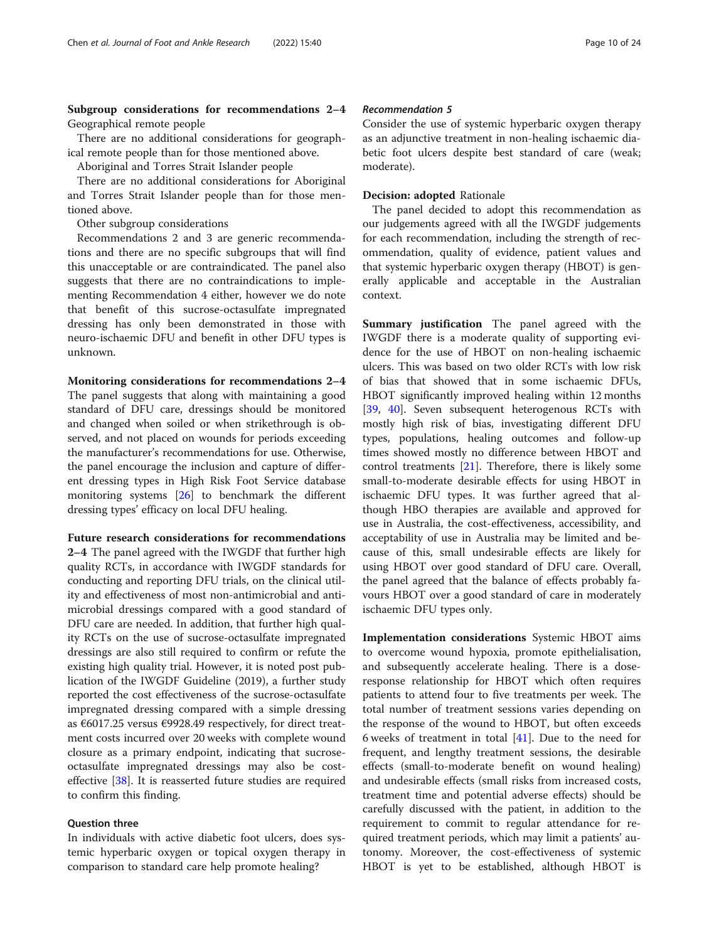Subgroup considerations for recommendations 2–4 Geographical remote people

There are no additional considerations for geographical remote people than for those mentioned above.

Aboriginal and Torres Strait Islander people

There are no additional considerations for Aboriginal and Torres Strait Islander people than for those mentioned above.

Other subgroup considerations

Recommendations 2 and 3 are generic recommendations and there are no specific subgroups that will find this unacceptable or are contraindicated. The panel also suggests that there are no contraindications to implementing Recommendation 4 either, however we do note that benefit of this sucrose-octasulfate impregnated dressing has only been demonstrated in those with neuro-ischaemic DFU and benefit in other DFU types is unknown.

Monitoring considerations for recommendations 2–4 The panel suggests that along with maintaining a good standard of DFU care, dressings should be monitored and changed when soiled or when strikethrough is observed, and not placed on wounds for periods exceeding the manufacturer's recommendations for use. Otherwise, the panel encourage the inclusion and capture of different dressing types in High Risk Foot Service database monitoring systems [\[26\]](#page-23-0) to benchmark the different dressing types' efficacy on local DFU healing.

Future research considerations for recommendations

2–4 The panel agreed with the IWGDF that further high quality RCTs, in accordance with IWGDF standards for conducting and reporting DFU trials, on the clinical utility and effectiveness of most non-antimicrobial and antimicrobial dressings compared with a good standard of DFU care are needed. In addition, that further high quality RCTs on the use of sucrose-octasulfate impregnated dressings are also still required to confirm or refute the existing high quality trial. However, it is noted post publication of the IWGDF Guideline (2019), a further study reported the cost effectiveness of the sucrose-octasulfate impregnated dressing compared with a simple dressing as €6017.25 versus €9928.49 respectively, for direct treatment costs incurred over 20 weeks with complete wound closure as a primary endpoint, indicating that sucroseoctasulfate impregnated dressings may also be costeffective [[38\]](#page-23-0). It is reasserted future studies are required to confirm this finding.

#### Question three

In individuals with active diabetic foot ulcers, does systemic hyperbaric oxygen or topical oxygen therapy in comparison to standard care help promote healing?

# Recommendation 5

Consider the use of systemic hyperbaric oxygen therapy as an adjunctive treatment in non-healing ischaemic diabetic foot ulcers despite best standard of care (weak; moderate).

#### Decision: adopted Rationale

The panel decided to adopt this recommendation as our judgements agreed with all the IWGDF judgements for each recommendation, including the strength of recommendation, quality of evidence, patient values and that systemic hyperbaric oxygen therapy (HBOT) is generally applicable and acceptable in the Australian context.

Summary justification The panel agreed with the IWGDF there is a moderate quality of supporting evidence for the use of HBOT on non-healing ischaemic ulcers. This was based on two older RCTs with low risk of bias that showed that in some ischaemic DFUs, HBOT significantly improved healing within 12 months [[39,](#page-23-0) [40](#page-23-0)]. Seven subsequent heterogenous RCTs with mostly high risk of bias, investigating different DFU types, populations, healing outcomes and follow-up times showed mostly no difference between HBOT and control treatments  $[21]$  $[21]$  $[21]$ . Therefore, there is likely some small-to-moderate desirable effects for using HBOT in ischaemic DFU types. It was further agreed that although HBO therapies are available and approved for use in Australia, the cost-effectiveness, accessibility, and acceptability of use in Australia may be limited and because of this, small undesirable effects are likely for using HBOT over good standard of DFU care. Overall, the panel agreed that the balance of effects probably favours HBOT over a good standard of care in moderately ischaemic DFU types only.

Implementation considerations Systemic HBOT aims to overcome wound hypoxia, promote epithelialisation, and subsequently accelerate healing. There is a doseresponse relationship for HBOT which often requires patients to attend four to five treatments per week. The total number of treatment sessions varies depending on the response of the wound to HBOT, but often exceeds 6 weeks of treatment in total [[41\]](#page-23-0). Due to the need for frequent, and lengthy treatment sessions, the desirable effects (small-to-moderate benefit on wound healing) and undesirable effects (small risks from increased costs, treatment time and potential adverse effects) should be carefully discussed with the patient, in addition to the requirement to commit to regular attendance for required treatment periods, which may limit a patients' autonomy. Moreover, the cost-effectiveness of systemic HBOT is yet to be established, although HBOT is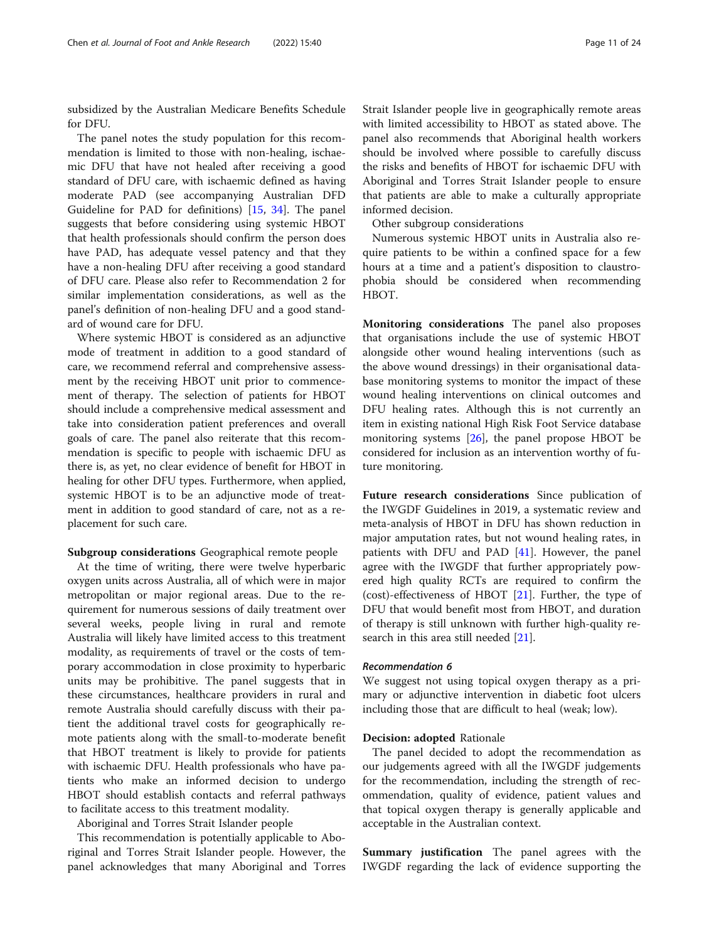subsidized by the Australian Medicare Benefits Schedule for DFU.

The panel notes the study population for this recommendation is limited to those with non-healing, ischaemic DFU that have not healed after receiving a good standard of DFU care, with ischaemic defined as having moderate PAD (see accompanying Australian DFD Guideline for PAD for definitions) [[15](#page-22-0), [34\]](#page-23-0). The panel suggests that before considering using systemic HBOT that health professionals should confirm the person does have PAD, has adequate vessel patency and that they have a non-healing DFU after receiving a good standard of DFU care. Please also refer to Recommendation 2 for similar implementation considerations, as well as the panel's definition of non-healing DFU and a good standard of wound care for DFU.

Where systemic HBOT is considered as an adjunctive mode of treatment in addition to a good standard of care, we recommend referral and comprehensive assessment by the receiving HBOT unit prior to commencement of therapy. The selection of patients for HBOT should include a comprehensive medical assessment and take into consideration patient preferences and overall goals of care. The panel also reiterate that this recommendation is specific to people with ischaemic DFU as there is, as yet, no clear evidence of benefit for HBOT in healing for other DFU types. Furthermore, when applied, systemic HBOT is to be an adjunctive mode of treatment in addition to good standard of care, not as a replacement for such care.

### Subgroup considerations Geographical remote people

At the time of writing, there were twelve hyperbaric oxygen units across Australia, all of which were in major metropolitan or major regional areas. Due to the requirement for numerous sessions of daily treatment over several weeks, people living in rural and remote Australia will likely have limited access to this treatment modality, as requirements of travel or the costs of temporary accommodation in close proximity to hyperbaric units may be prohibitive. The panel suggests that in these circumstances, healthcare providers in rural and remote Australia should carefully discuss with their patient the additional travel costs for geographically remote patients along with the small-to-moderate benefit that HBOT treatment is likely to provide for patients with ischaemic DFU. Health professionals who have patients who make an informed decision to undergo HBOT should establish contacts and referral pathways to facilitate access to this treatment modality.

Aboriginal and Torres Strait Islander people

This recommendation is potentially applicable to Aboriginal and Torres Strait Islander people. However, the panel acknowledges that many Aboriginal and Torres Strait Islander people live in geographically remote areas with limited accessibility to HBOT as stated above. The panel also recommends that Aboriginal health workers should be involved where possible to carefully discuss the risks and benefits of HBOT for ischaemic DFU with Aboriginal and Torres Strait Islander people to ensure that patients are able to make a culturally appropriate informed decision.

Other subgroup considerations

Numerous systemic HBOT units in Australia also require patients to be within a confined space for a few hours at a time and a patient's disposition to claustrophobia should be considered when recommending HBOT.

Monitoring considerations The panel also proposes that organisations include the use of systemic HBOT alongside other wound healing interventions (such as the above wound dressings) in their organisational database monitoring systems to monitor the impact of these wound healing interventions on clinical outcomes and DFU healing rates. Although this is not currently an item in existing national High Risk Foot Service database monitoring systems  $[26]$  $[26]$ , the panel propose HBOT be considered for inclusion as an intervention worthy of future monitoring.

Future research considerations Since publication of the IWGDF Guidelines in 2019, a systematic review and meta-analysis of HBOT in DFU has shown reduction in major amputation rates, but not wound healing rates, in patients with DFU and PAD [[41](#page-23-0)]. However, the panel agree with the IWGDF that further appropriately powered high quality RCTs are required to confirm the (cost)-effectiveness of HBOT [\[21](#page-22-0)]. Further, the type of DFU that would benefit most from HBOT, and duration of therapy is still unknown with further high-quality research in this area still needed [[21\]](#page-22-0).

#### Recommendation 6

We suggest not using topical oxygen therapy as a primary or adjunctive intervention in diabetic foot ulcers including those that are difficult to heal (weak; low).

#### Decision: adopted Rationale

The panel decided to adopt the recommendation as our judgements agreed with all the IWGDF judgements for the recommendation, including the strength of recommendation, quality of evidence, patient values and that topical oxygen therapy is generally applicable and acceptable in the Australian context.

**Summary justification** The panel agrees with the IWGDF regarding the lack of evidence supporting the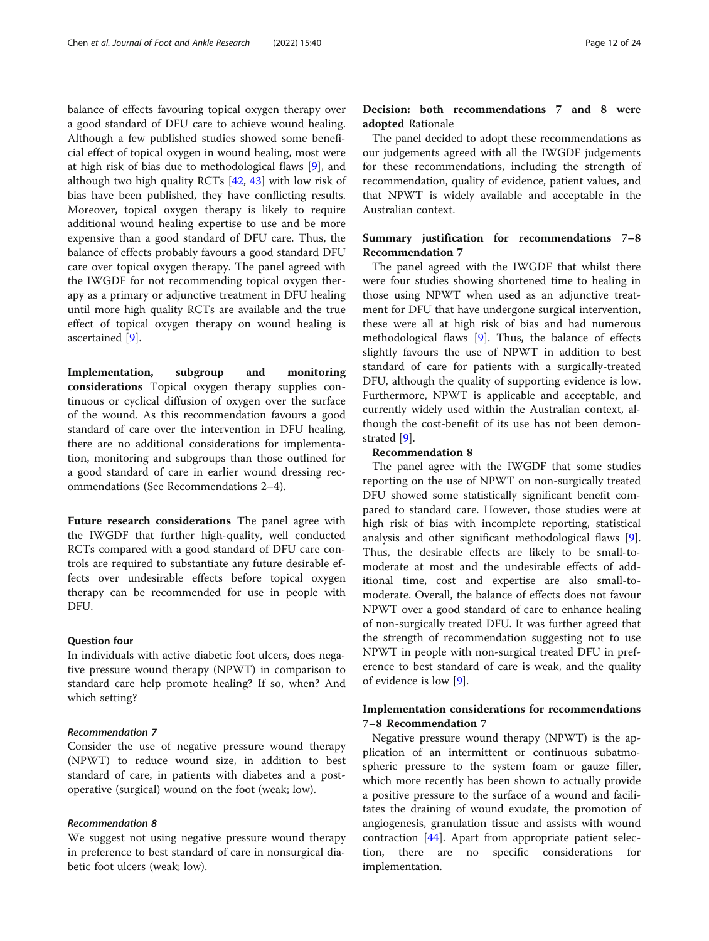balance of effects favouring topical oxygen therapy over a good standard of DFU care to achieve wound healing. Although a few published studies showed some beneficial effect of topical oxygen in wound healing, most were at high risk of bias due to methodological flaws [[9\]](#page-22-0), and although two high quality RCTs [[42,](#page-23-0) [43\]](#page-23-0) with low risk of bias have been published, they have conflicting results. Moreover, topical oxygen therapy is likely to require additional wound healing expertise to use and be more expensive than a good standard of DFU care. Thus, the balance of effects probably favours a good standard DFU care over topical oxygen therapy. The panel agreed with the IWGDF for not recommending topical oxygen therapy as a primary or adjunctive treatment in DFU healing until more high quality RCTs are available and the true effect of topical oxygen therapy on wound healing is ascertained [[9](#page-22-0)].

Implementation, subgroup and monitoring considerations Topical oxygen therapy supplies continuous or cyclical diffusion of oxygen over the surface of the wound. As this recommendation favours a good standard of care over the intervention in DFU healing, there are no additional considerations for implementation, monitoring and subgroups than those outlined for a good standard of care in earlier wound dressing recommendations (See Recommendations 2–4).

Future research considerations The panel agree with the IWGDF that further high-quality, well conducted RCTs compared with a good standard of DFU care controls are required to substantiate any future desirable effects over undesirable effects before topical oxygen therapy can be recommended for use in people with DFU.

#### Question four

In individuals with active diabetic foot ulcers, does negative pressure wound therapy (NPWT) in comparison to standard care help promote healing? If so, when? And which setting?

# Recommendation 7

Consider the use of negative pressure wound therapy (NPWT) to reduce wound size, in addition to best standard of care, in patients with diabetes and a postoperative (surgical) wound on the foot (weak; low).

#### Recommendation 8

We suggest not using negative pressure wound therapy in preference to best standard of care in nonsurgical diabetic foot ulcers (weak; low).

# Decision: both recommendations 7 and 8 were adopted Rationale

The panel decided to adopt these recommendations as our judgements agreed with all the IWGDF judgements for these recommendations, including the strength of recommendation, quality of evidence, patient values, and that NPWT is widely available and acceptable in the Australian context.

# Summary justification for recommendations 7–8 Recommendation 7

The panel agreed with the IWGDF that whilst there were four studies showing shortened time to healing in those using NPWT when used as an adjunctive treatment for DFU that have undergone surgical intervention, these were all at high risk of bias and had numerous methodological flaws [[9\]](#page-22-0). Thus, the balance of effects slightly favours the use of NPWT in addition to best standard of care for patients with a surgically-treated DFU, although the quality of supporting evidence is low. Furthermore, NPWT is applicable and acceptable, and currently widely used within the Australian context, although the cost-benefit of its use has not been demonstrated [[9\]](#page-22-0).

#### Recommendation 8

The panel agree with the IWGDF that some studies reporting on the use of NPWT on non-surgically treated DFU showed some statistically significant benefit compared to standard care. However, those studies were at high risk of bias with incomplete reporting, statistical analysis and other significant methodological flaws [\[9](#page-22-0)]. Thus, the desirable effects are likely to be small-tomoderate at most and the undesirable effects of additional time, cost and expertise are also small-tomoderate. Overall, the balance of effects does not favour NPWT over a good standard of care to enhance healing of non-surgically treated DFU. It was further agreed that the strength of recommendation suggesting not to use NPWT in people with non-surgical treated DFU in preference to best standard of care is weak, and the quality of evidence is low [[9\]](#page-22-0).

# Implementation considerations for recommendations 7–8 Recommendation 7

Negative pressure wound therapy (NPWT) is the application of an intermittent or continuous subatmospheric pressure to the system foam or gauze filler, which more recently has been shown to actually provide a positive pressure to the surface of a wound and facilitates the draining of wound exudate, the promotion of angiogenesis, granulation tissue and assists with wound contraction [\[44](#page-23-0)]. Apart from appropriate patient selection, there are no specific considerations for implementation.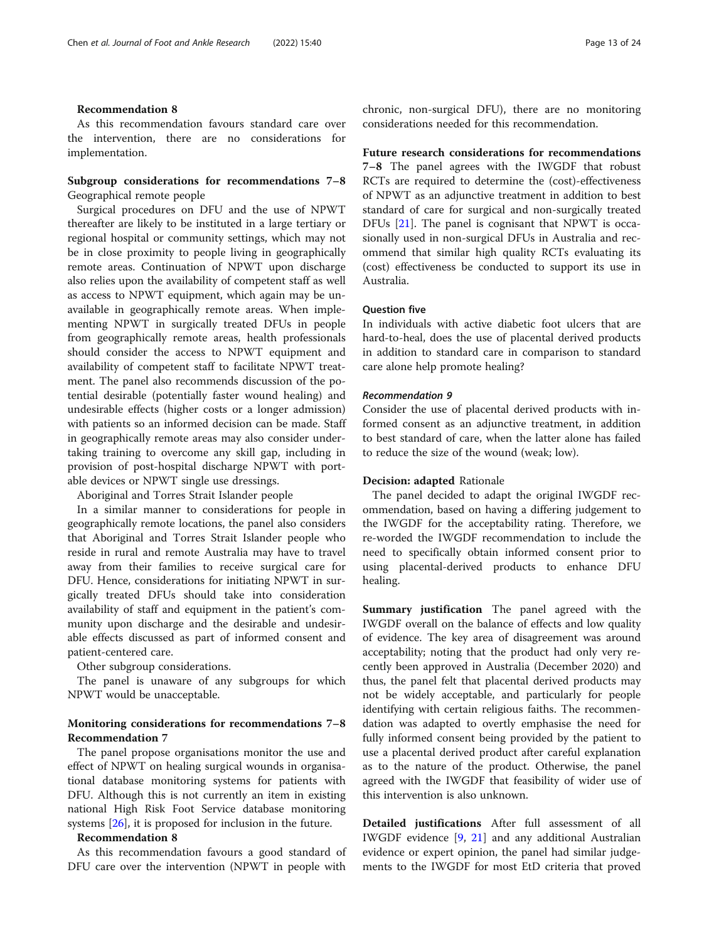# Recommendation 8

As this recommendation favours standard care over the intervention, there are no considerations for implementation.

# Subgroup considerations for recommendations 7–8 Geographical remote people

Surgical procedures on DFU and the use of NPWT thereafter are likely to be instituted in a large tertiary or regional hospital or community settings, which may not be in close proximity to people living in geographically remote areas. Continuation of NPWT upon discharge also relies upon the availability of competent staff as well as access to NPWT equipment, which again may be unavailable in geographically remote areas. When implementing NPWT in surgically treated DFUs in people from geographically remote areas, health professionals should consider the access to NPWT equipment and availability of competent staff to facilitate NPWT treatment. The panel also recommends discussion of the potential desirable (potentially faster wound healing) and undesirable effects (higher costs or a longer admission) with patients so an informed decision can be made. Staff in geographically remote areas may also consider undertaking training to overcome any skill gap, including in provision of post-hospital discharge NPWT with portable devices or NPWT single use dressings.

Aboriginal and Torres Strait Islander people

In a similar manner to considerations for people in geographically remote locations, the panel also considers that Aboriginal and Torres Strait Islander people who reside in rural and remote Australia may have to travel away from their families to receive surgical care for DFU. Hence, considerations for initiating NPWT in surgically treated DFUs should take into consideration availability of staff and equipment in the patient's community upon discharge and the desirable and undesirable effects discussed as part of informed consent and patient-centered care.

Other subgroup considerations.

The panel is unaware of any subgroups for which NPWT would be unacceptable.

# Monitoring considerations for recommendations 7–8 Recommendation 7

The panel propose organisations monitor the use and effect of NPWT on healing surgical wounds in organisational database monitoring systems for patients with DFU. Although this is not currently an item in existing national High Risk Foot Service database monitoring systems [\[26](#page-23-0)], it is proposed for inclusion in the future.

# Recommendation 8

As this recommendation favours a good standard of DFU care over the intervention (NPWT in people with chronic, non-surgical DFU), there are no monitoring considerations needed for this recommendation.

Future research considerations for recommendations 7–8 The panel agrees with the IWGDF that robust RCTs are required to determine the (cost)-effectiveness of NPWT as an adjunctive treatment in addition to best standard of care for surgical and non-surgically treated DFUs [[21\]](#page-22-0). The panel is cognisant that NPWT is occasionally used in non-surgical DFUs in Australia and recommend that similar high quality RCTs evaluating its (cost) effectiveness be conducted to support its use in Australia.

#### Question five

In individuals with active diabetic foot ulcers that are hard-to-heal, does the use of placental derived products in addition to standard care in comparison to standard care alone help promote healing?

#### Recommendation 9

Consider the use of placental derived products with informed consent as an adjunctive treatment, in addition to best standard of care, when the latter alone has failed to reduce the size of the wound (weak; low).

#### Decision: adapted Rationale

The panel decided to adapt the original IWGDF recommendation, based on having a differing judgement to the IWGDF for the acceptability rating. Therefore, we re-worded the IWGDF recommendation to include the need to specifically obtain informed consent prior to using placental-derived products to enhance DFU healing.

Summary justification The panel agreed with the IWGDF overall on the balance of effects and low quality of evidence. The key area of disagreement was around acceptability; noting that the product had only very recently been approved in Australia (December 2020) and thus, the panel felt that placental derived products may not be widely acceptable, and particularly for people identifying with certain religious faiths. The recommendation was adapted to overtly emphasise the need for fully informed consent being provided by the patient to use a placental derived product after careful explanation as to the nature of the product. Otherwise, the panel agreed with the IWGDF that feasibility of wider use of this intervention is also unknown.

Detailed justifications After full assessment of all IWGDF evidence [[9,](#page-22-0) [21\]](#page-22-0) and any additional Australian evidence or expert opinion, the panel had similar judgements to the IWGDF for most EtD criteria that proved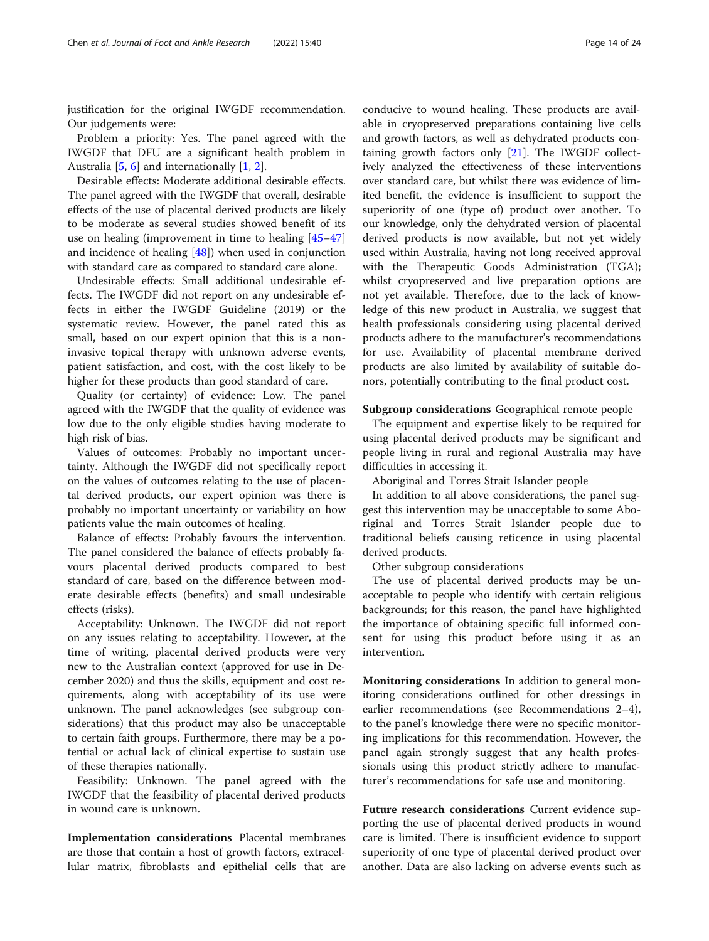justification for the original IWGDF recommendation. Our judgements were:

Problem a priority: Yes. The panel agreed with the IWGDF that DFU are a significant health problem in Australia [[5,](#page-22-0) [6\]](#page-22-0) and internationally [[1,](#page-22-0) [2\]](#page-22-0).

Desirable effects: Moderate additional desirable effects. The panel agreed with the IWGDF that overall, desirable effects of the use of placental derived products are likely to be moderate as several studies showed benefit of its use on healing (improvement in time to healing [[45](#page-23-0)–[47](#page-23-0)] and incidence of healing [[48\]](#page-23-0)) when used in conjunction with standard care as compared to standard care alone.

Undesirable effects: Small additional undesirable effects. The IWGDF did not report on any undesirable effects in either the IWGDF Guideline (2019) or the systematic review. However, the panel rated this as small, based on our expert opinion that this is a noninvasive topical therapy with unknown adverse events, patient satisfaction, and cost, with the cost likely to be higher for these products than good standard of care.

Quality (or certainty) of evidence: Low. The panel agreed with the IWGDF that the quality of evidence was low due to the only eligible studies having moderate to high risk of bias.

Values of outcomes: Probably no important uncertainty. Although the IWGDF did not specifically report on the values of outcomes relating to the use of placental derived products, our expert opinion was there is probably no important uncertainty or variability on how patients value the main outcomes of healing.

Balance of effects: Probably favours the intervention. The panel considered the balance of effects probably favours placental derived products compared to best standard of care, based on the difference between moderate desirable effects (benefits) and small undesirable effects (risks).

Acceptability: Unknown. The IWGDF did not report on any issues relating to acceptability. However, at the time of writing, placental derived products were very new to the Australian context (approved for use in December 2020) and thus the skills, equipment and cost requirements, along with acceptability of its use were unknown. The panel acknowledges (see subgroup considerations) that this product may also be unacceptable to certain faith groups. Furthermore, there may be a potential or actual lack of clinical expertise to sustain use of these therapies nationally.

Feasibility: Unknown. The panel agreed with the IWGDF that the feasibility of placental derived products in wound care is unknown.

Implementation considerations Placental membranes are those that contain a host of growth factors, extracellular matrix, fibroblasts and epithelial cells that are conducive to wound healing. These products are available in cryopreserved preparations containing live cells and growth factors, as well as dehydrated products containing growth factors only [[21](#page-22-0)]. The IWGDF collectively analyzed the effectiveness of these interventions over standard care, but whilst there was evidence of limited benefit, the evidence is insufficient to support the superiority of one (type of) product over another. To our knowledge, only the dehydrated version of placental derived products is now available, but not yet widely used within Australia, having not long received approval with the Therapeutic Goods Administration (TGA); whilst cryopreserved and live preparation options are not yet available. Therefore, due to the lack of knowledge of this new product in Australia, we suggest that health professionals considering using placental derived products adhere to the manufacturer's recommendations for use. Availability of placental membrane derived products are also limited by availability of suitable donors, potentially contributing to the final product cost.

#### Subgroup considerations Geographical remote people

The equipment and expertise likely to be required for using placental derived products may be significant and people living in rural and regional Australia may have difficulties in accessing it.

Aboriginal and Torres Strait Islander people

In addition to all above considerations, the panel suggest this intervention may be unacceptable to some Aboriginal and Torres Strait Islander people due to traditional beliefs causing reticence in using placental derived products.

Other subgroup considerations

The use of placental derived products may be unacceptable to people who identify with certain religious backgrounds; for this reason, the panel have highlighted the importance of obtaining specific full informed consent for using this product before using it as an intervention.

Monitoring considerations In addition to general monitoring considerations outlined for other dressings in earlier recommendations (see Recommendations 2–4), to the panel's knowledge there were no specific monitoring implications for this recommendation. However, the panel again strongly suggest that any health professionals using this product strictly adhere to manufacturer's recommendations for safe use and monitoring.

Future research considerations Current evidence supporting the use of placental derived products in wound care is limited. There is insufficient evidence to support superiority of one type of placental derived product over another. Data are also lacking on adverse events such as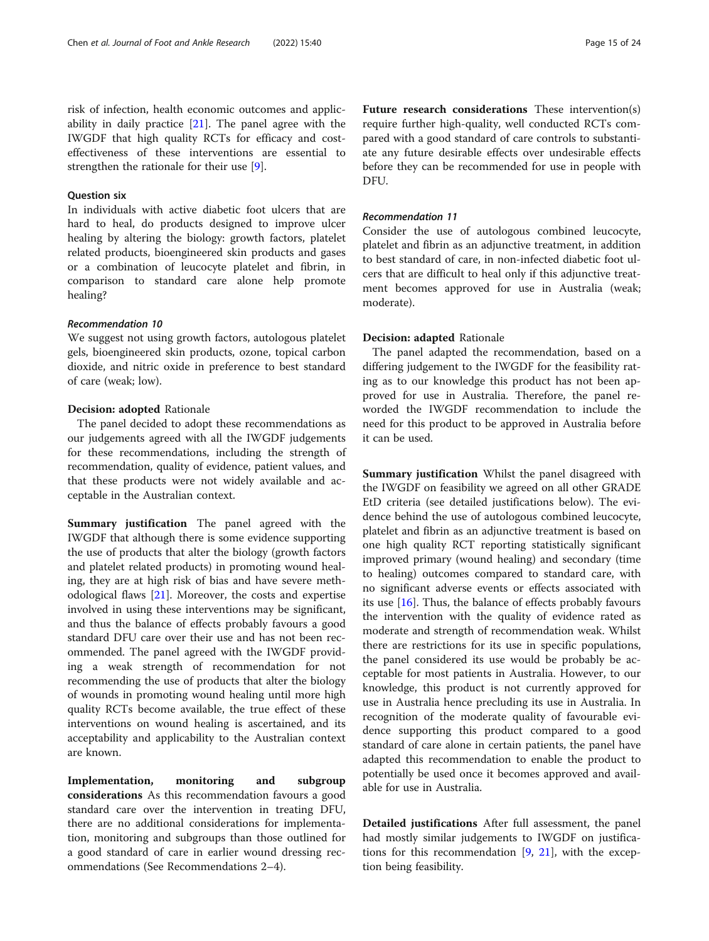risk of infection, health economic outcomes and applicability in daily practice [\[21\]](#page-22-0). The panel agree with the IWGDF that high quality RCTs for efficacy and costeffectiveness of these interventions are essential to strengthen the rationale for their use [[9\]](#page-22-0).

# Question six

In individuals with active diabetic foot ulcers that are hard to heal, do products designed to improve ulcer healing by altering the biology: growth factors, platelet related products, bioengineered skin products and gases or a combination of leucocyte platelet and fibrin, in comparison to standard care alone help promote healing?

# Recommendation 10

We suggest not using growth factors, autologous platelet gels, bioengineered skin products, ozone, topical carbon dioxide, and nitric oxide in preference to best standard of care (weak; low).

#### Decision: adopted Rationale

The panel decided to adopt these recommendations as our judgements agreed with all the IWGDF judgements for these recommendations, including the strength of recommendation, quality of evidence, patient values, and that these products were not widely available and acceptable in the Australian context.

Summary justification The panel agreed with the IWGDF that although there is some evidence supporting the use of products that alter the biology (growth factors and platelet related products) in promoting wound healing, they are at high risk of bias and have severe methodological flaws [[21](#page-22-0)]. Moreover, the costs and expertise involved in using these interventions may be significant, and thus the balance of effects probably favours a good standard DFU care over their use and has not been recommended. The panel agreed with the IWGDF providing a weak strength of recommendation for not recommending the use of products that alter the biology of wounds in promoting wound healing until more high quality RCTs become available, the true effect of these interventions on wound healing is ascertained, and its acceptability and applicability to the Australian context are known.

Implementation, monitoring and subgroup considerations As this recommendation favours a good standard care over the intervention in treating DFU, there are no additional considerations for implementation, monitoring and subgroups than those outlined for a good standard of care in earlier wound dressing recommendations (See Recommendations 2–4).

Future research considerations These intervention(s) require further high-quality, well conducted RCTs compared with a good standard of care controls to substantiate any future desirable effects over undesirable effects before they can be recommended for use in people with DFU.

#### Recommendation 11

Consider the use of autologous combined leucocyte, platelet and fibrin as an adjunctive treatment, in addition to best standard of care, in non-infected diabetic foot ulcers that are difficult to heal only if this adjunctive treatment becomes approved for use in Australia (weak; moderate).

#### Decision: adapted Rationale

The panel adapted the recommendation, based on a differing judgement to the IWGDF for the feasibility rating as to our knowledge this product has not been approved for use in Australia. Therefore, the panel reworded the IWGDF recommendation to include the need for this product to be approved in Australia before it can be used.

Summary justification Whilst the panel disagreed with the IWGDF on feasibility we agreed on all other GRADE EtD criteria (see detailed justifications below). The evidence behind the use of autologous combined leucocyte, platelet and fibrin as an adjunctive treatment is based on one high quality RCT reporting statistically significant improved primary (wound healing) and secondary (time to healing) outcomes compared to standard care, with no significant adverse events or effects associated with its use [[16\]](#page-22-0). Thus, the balance of effects probably favours the intervention with the quality of evidence rated as moderate and strength of recommendation weak. Whilst there are restrictions for its use in specific populations, the panel considered its use would be probably be acceptable for most patients in Australia. However, to our knowledge, this product is not currently approved for use in Australia hence precluding its use in Australia. In recognition of the moderate quality of favourable evidence supporting this product compared to a good standard of care alone in certain patients, the panel have adapted this recommendation to enable the product to potentially be used once it becomes approved and available for use in Australia.

Detailed justifications After full assessment, the panel had mostly similar judgements to IWGDF on justifications for this recommendation  $[9, 21]$  $[9, 21]$  $[9, 21]$ , with the exception being feasibility.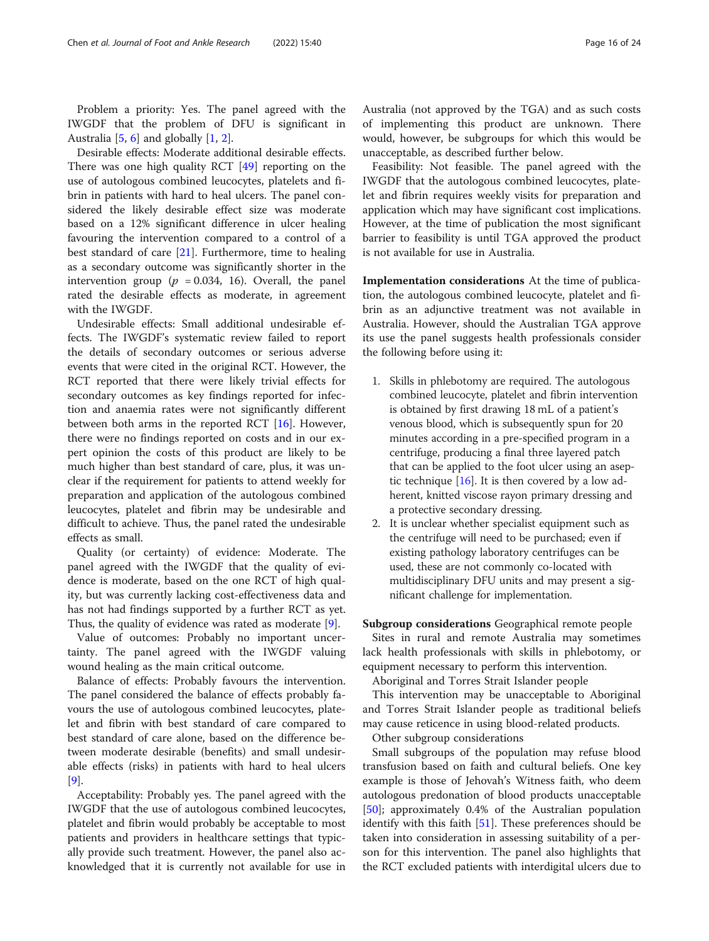Problem a priority: Yes. The panel agreed with the IWGDF that the problem of DFU is significant in Australia [[5,](#page-22-0) [6\]](#page-22-0) and globally [\[1](#page-22-0), [2\]](#page-22-0).

Desirable effects: Moderate additional desirable effects. There was one high quality RCT [[49\]](#page-23-0) reporting on the use of autologous combined leucocytes, platelets and fibrin in patients with hard to heal ulcers. The panel considered the likely desirable effect size was moderate based on a 12% significant difference in ulcer healing favouring the intervention compared to a control of a best standard of care [[21\]](#page-22-0). Furthermore, time to healing as a secondary outcome was significantly shorter in the intervention group ( $p = 0.034, 16$ ). Overall, the panel rated the desirable effects as moderate, in agreement with the IWGDF.

Undesirable effects: Small additional undesirable effects. The IWGDF's systematic review failed to report the details of secondary outcomes or serious adverse events that were cited in the original RCT. However, the RCT reported that there were likely trivial effects for secondary outcomes as key findings reported for infection and anaemia rates were not significantly different between both arms in the reported RCT  $[16]$ . However, there were no findings reported on costs and in our expert opinion the costs of this product are likely to be much higher than best standard of care, plus, it was unclear if the requirement for patients to attend weekly for preparation and application of the autologous combined leucocytes, platelet and fibrin may be undesirable and difficult to achieve. Thus, the panel rated the undesirable effects as small.

Quality (or certainty) of evidence: Moderate. The panel agreed with the IWGDF that the quality of evidence is moderate, based on the one RCT of high quality, but was currently lacking cost-effectiveness data and has not had findings supported by a further RCT as yet. Thus, the quality of evidence was rated as moderate [[9\]](#page-22-0).

Value of outcomes: Probably no important uncertainty. The panel agreed with the IWGDF valuing wound healing as the main critical outcome.

Balance of effects: Probably favours the intervention. The panel considered the balance of effects probably favours the use of autologous combined leucocytes, platelet and fibrin with best standard of care compared to best standard of care alone, based on the difference between moderate desirable (benefits) and small undesirable effects (risks) in patients with hard to heal ulcers [[9\]](#page-22-0).

Acceptability: Probably yes. The panel agreed with the IWGDF that the use of autologous combined leucocytes, platelet and fibrin would probably be acceptable to most patients and providers in healthcare settings that typically provide such treatment. However, the panel also acknowledged that it is currently not available for use in Australia (not approved by the TGA) and as such costs of implementing this product are unknown. There would, however, be subgroups for which this would be unacceptable, as described further below.

Feasibility: Not feasible. The panel agreed with the IWGDF that the autologous combined leucocytes, platelet and fibrin requires weekly visits for preparation and application which may have significant cost implications. However, at the time of publication the most significant barrier to feasibility is until TGA approved the product is not available for use in Australia.

Implementation considerations At the time of publication, the autologous combined leucocyte, platelet and fibrin as an adjunctive treatment was not available in Australia. However, should the Australian TGA approve its use the panel suggests health professionals consider the following before using it:

- 1. Skills in phlebotomy are required. The autologous combined leucocyte, platelet and fibrin intervention is obtained by first drawing 18 mL of a patient's venous blood, which is subsequently spun for 20 minutes according in a pre-specified program in a centrifuge, producing a final three layered patch that can be applied to the foot ulcer using an aseptic technique  $[16]$  $[16]$ . It is then covered by a low adherent, knitted viscose rayon primary dressing and a protective secondary dressing.
- 2. It is unclear whether specialist equipment such as the centrifuge will need to be purchased; even if existing pathology laboratory centrifuges can be used, these are not commonly co-located with multidisciplinary DFU units and may present a significant challenge for implementation.

Subgroup considerations Geographical remote people Sites in rural and remote Australia may sometimes lack health professionals with skills in phlebotomy, or equipment necessary to perform this intervention.

Aboriginal and Torres Strait Islander people

This intervention may be unacceptable to Aboriginal and Torres Strait Islander people as traditional beliefs may cause reticence in using blood-related products.

Other subgroup considerations

Small subgroups of the population may refuse blood transfusion based on faith and cultural beliefs. One key example is those of Jehovah's Witness faith, who deem autologous predonation of blood products unacceptable [[50\]](#page-23-0); approximately 0.4% of the Australian population identify with this faith [[51](#page-23-0)]. These preferences should be taken into consideration in assessing suitability of a person for this intervention. The panel also highlights that the RCT excluded patients with interdigital ulcers due to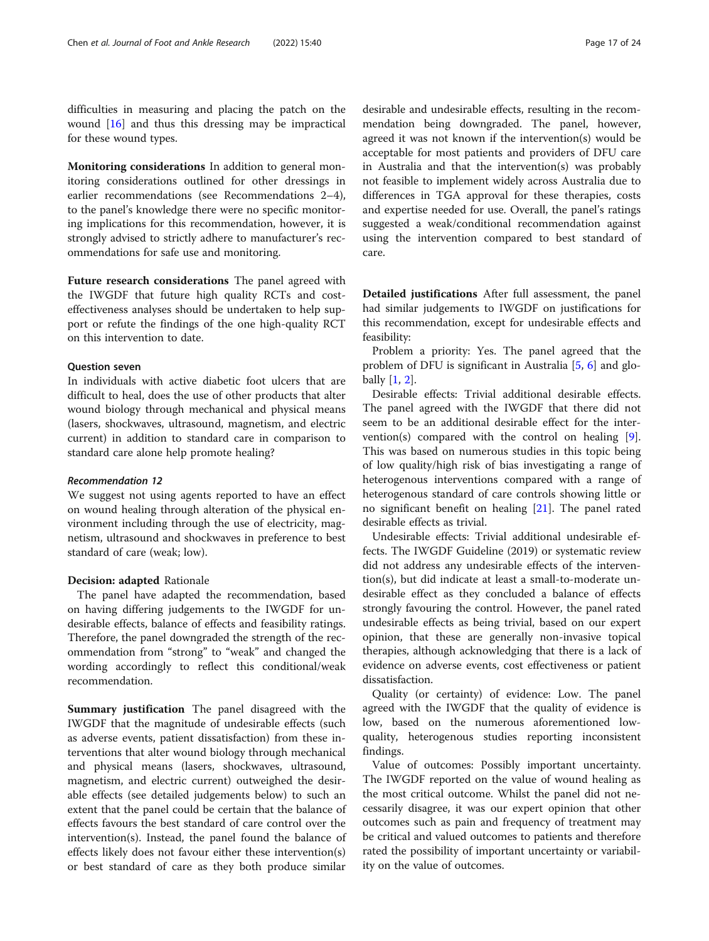difficulties in measuring and placing the patch on the wound [\[16](#page-22-0)] and thus this dressing may be impractical for these wound types.

Monitoring considerations In addition to general monitoring considerations outlined for other dressings in earlier recommendations (see Recommendations 2–4), to the panel's knowledge there were no specific monitoring implications for this recommendation, however, it is strongly advised to strictly adhere to manufacturer's recommendations for safe use and monitoring.

Future research considerations The panel agreed with the IWGDF that future high quality RCTs and costeffectiveness analyses should be undertaken to help support or refute the findings of the one high-quality RCT on this intervention to date.

#### Question seven

In individuals with active diabetic foot ulcers that are difficult to heal, does the use of other products that alter wound biology through mechanical and physical means (lasers, shockwaves, ultrasound, magnetism, and electric current) in addition to standard care in comparison to standard care alone help promote healing?

#### Recommendation 12

We suggest not using agents reported to have an effect on wound healing through alteration of the physical environment including through the use of electricity, magnetism, ultrasound and shockwaves in preference to best standard of care (weak; low).

#### Decision: adapted Rationale

The panel have adapted the recommendation, based on having differing judgements to the IWGDF for undesirable effects, balance of effects and feasibility ratings. Therefore, the panel downgraded the strength of the recommendation from "strong" to "weak" and changed the wording accordingly to reflect this conditional/weak recommendation.

Summary justification The panel disagreed with the IWGDF that the magnitude of undesirable effects (such as adverse events, patient dissatisfaction) from these interventions that alter wound biology through mechanical and physical means (lasers, shockwaves, ultrasound, magnetism, and electric current) outweighed the desirable effects (see detailed judgements below) to such an extent that the panel could be certain that the balance of effects favours the best standard of care control over the intervention(s). Instead, the panel found the balance of effects likely does not favour either these intervention(s) or best standard of care as they both produce similar

desirable and undesirable effects, resulting in the recommendation being downgraded. The panel, however, agreed it was not known if the intervention(s) would be acceptable for most patients and providers of DFU care in Australia and that the intervention(s) was probably not feasible to implement widely across Australia due to differences in TGA approval for these therapies, costs and expertise needed for use. Overall, the panel's ratings suggested a weak/conditional recommendation against using the intervention compared to best standard of care.

Detailed justifications After full assessment, the panel had similar judgements to IWGDF on justifications for this recommendation, except for undesirable effects and feasibility:

Problem a priority: Yes. The panel agreed that the problem of DFU is significant in Australia [\[5](#page-22-0), [6](#page-22-0)] and globally [[1,](#page-22-0) [2\]](#page-22-0).

Desirable effects: Trivial additional desirable effects. The panel agreed with the IWGDF that there did not seem to be an additional desirable effect for the intervention(s) compared with the control on healing [\[9](#page-22-0)]. This was based on numerous studies in this topic being of low quality/high risk of bias investigating a range of heterogenous interventions compared with a range of heterogenous standard of care controls showing little or no significant benefit on healing [[21\]](#page-22-0). The panel rated desirable effects as trivial.

Undesirable effects: Trivial additional undesirable effects. The IWGDF Guideline (2019) or systematic review did not address any undesirable effects of the intervention(s), but did indicate at least a small-to-moderate undesirable effect as they concluded a balance of effects strongly favouring the control. However, the panel rated undesirable effects as being trivial, based on our expert opinion, that these are generally non-invasive topical therapies, although acknowledging that there is a lack of evidence on adverse events, cost effectiveness or patient dissatisfaction.

Quality (or certainty) of evidence: Low. The panel agreed with the IWGDF that the quality of evidence is low, based on the numerous aforementioned lowquality, heterogenous studies reporting inconsistent findings.

Value of outcomes: Possibly important uncertainty. The IWGDF reported on the value of wound healing as the most critical outcome. Whilst the panel did not necessarily disagree, it was our expert opinion that other outcomes such as pain and frequency of treatment may be critical and valued outcomes to patients and therefore rated the possibility of important uncertainty or variability on the value of outcomes.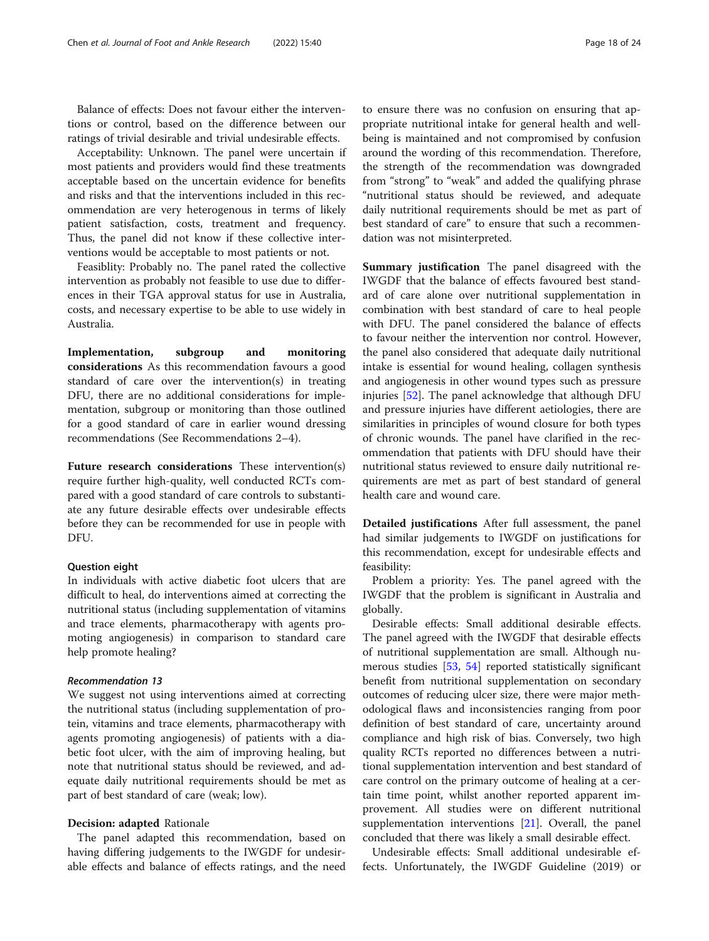Balance of effects: Does not favour either the interventions or control, based on the difference between our ratings of trivial desirable and trivial undesirable effects.

Acceptability: Unknown. The panel were uncertain if most patients and providers would find these treatments acceptable based on the uncertain evidence for benefits and risks and that the interventions included in this recommendation are very heterogenous in terms of likely patient satisfaction, costs, treatment and frequency. Thus, the panel did not know if these collective interventions would be acceptable to most patients or not.

Feasiblity: Probably no. The panel rated the collective intervention as probably not feasible to use due to differences in their TGA approval status for use in Australia, costs, and necessary expertise to be able to use widely in Australia.

Implementation, subgroup and monitoring considerations As this recommendation favours a good standard of care over the intervention(s) in treating DFU, there are no additional considerations for implementation, subgroup or monitoring than those outlined for a good standard of care in earlier wound dressing recommendations (See Recommendations 2–4).

Future research considerations These intervention(s) require further high-quality, well conducted RCTs compared with a good standard of care controls to substantiate any future desirable effects over undesirable effects before they can be recommended for use in people with DFU.

#### Question eight

In individuals with active diabetic foot ulcers that are difficult to heal, do interventions aimed at correcting the nutritional status (including supplementation of vitamins and trace elements, pharmacotherapy with agents promoting angiogenesis) in comparison to standard care help promote healing?

# Recommendation 13

We suggest not using interventions aimed at correcting the nutritional status (including supplementation of protein, vitamins and trace elements, pharmacotherapy with agents promoting angiogenesis) of patients with a diabetic foot ulcer, with the aim of improving healing, but note that nutritional status should be reviewed, and adequate daily nutritional requirements should be met as part of best standard of care (weak; low).

#### Decision: adapted Rationale

The panel adapted this recommendation, based on having differing judgements to the IWGDF for undesirable effects and balance of effects ratings, and the need

to ensure there was no confusion on ensuring that appropriate nutritional intake for general health and wellbeing is maintained and not compromised by confusion around the wording of this recommendation. Therefore, the strength of the recommendation was downgraded from "strong" to "weak" and added the qualifying phrase "nutritional status should be reviewed, and adequate daily nutritional requirements should be met as part of best standard of care" to ensure that such a recommendation was not misinterpreted.

Summary justification The panel disagreed with the IWGDF that the balance of effects favoured best standard of care alone over nutritional supplementation in combination with best standard of care to heal people with DFU. The panel considered the balance of effects to favour neither the intervention nor control. However, the panel also considered that adequate daily nutritional intake is essential for wound healing, collagen synthesis and angiogenesis in other wound types such as pressure injuries [\[52](#page-23-0)]. The panel acknowledge that although DFU and pressure injuries have different aetiologies, there are similarities in principles of wound closure for both types of chronic wounds. The panel have clarified in the recommendation that patients with DFU should have their nutritional status reviewed to ensure daily nutritional requirements are met as part of best standard of general health care and wound care.

Detailed justifications After full assessment, the panel had similar judgements to IWGDF on justifications for this recommendation, except for undesirable effects and feasibility:

Problem a priority: Yes. The panel agreed with the IWGDF that the problem is significant in Australia and globally.

Desirable effects: Small additional desirable effects. The panel agreed with the IWGDF that desirable effects of nutritional supplementation are small. Although numerous studies [\[53,](#page-23-0) [54](#page-23-0)] reported statistically significant benefit from nutritional supplementation on secondary outcomes of reducing ulcer size, there were major methodological flaws and inconsistencies ranging from poor definition of best standard of care, uncertainty around compliance and high risk of bias. Conversely, two high quality RCTs reported no differences between a nutritional supplementation intervention and best standard of care control on the primary outcome of healing at a certain time point, whilst another reported apparent improvement. All studies were on different nutritional supplementation interventions [[21](#page-22-0)]. Overall, the panel concluded that there was likely a small desirable effect.

Undesirable effects: Small additional undesirable effects. Unfortunately, the IWGDF Guideline (2019) or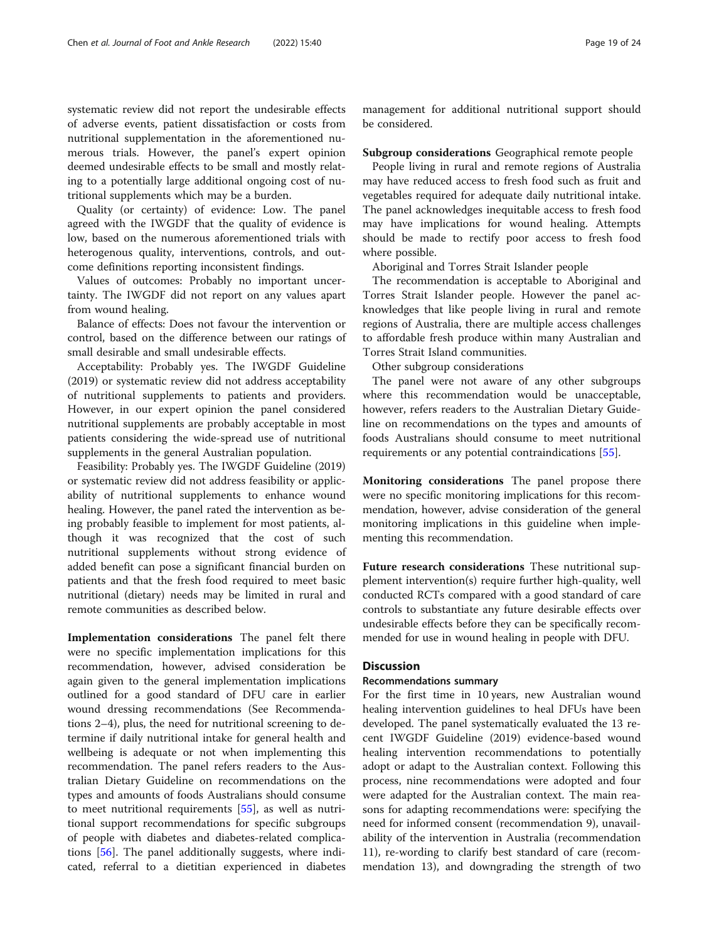systematic review did not report the undesirable effects of adverse events, patient dissatisfaction or costs from nutritional supplementation in the aforementioned numerous trials. However, the panel's expert opinion deemed undesirable effects to be small and mostly relating to a potentially large additional ongoing cost of nutritional supplements which may be a burden.

Quality (or certainty) of evidence: Low. The panel agreed with the IWGDF that the quality of evidence is low, based on the numerous aforementioned trials with heterogenous quality, interventions, controls, and outcome definitions reporting inconsistent findings.

Values of outcomes: Probably no important uncertainty. The IWGDF did not report on any values apart from wound healing.

Balance of effects: Does not favour the intervention or control, based on the difference between our ratings of small desirable and small undesirable effects.

Acceptability: Probably yes. The IWGDF Guideline (2019) or systematic review did not address acceptability of nutritional supplements to patients and providers. However, in our expert opinion the panel considered nutritional supplements are probably acceptable in most patients considering the wide-spread use of nutritional supplements in the general Australian population.

Feasibility: Probably yes. The IWGDF Guideline (2019) or systematic review did not address feasibility or applicability of nutritional supplements to enhance wound healing. However, the panel rated the intervention as being probably feasible to implement for most patients, although it was recognized that the cost of such nutritional supplements without strong evidence of added benefit can pose a significant financial burden on patients and that the fresh food required to meet basic nutritional (dietary) needs may be limited in rural and remote communities as described below.

Implementation considerations The panel felt there were no specific implementation implications for this recommendation, however, advised consideration be again given to the general implementation implications outlined for a good standard of DFU care in earlier wound dressing recommendations (See Recommendations 2–4), plus, the need for nutritional screening to determine if daily nutritional intake for general health and wellbeing is adequate or not when implementing this recommendation. The panel refers readers to the Australian Dietary Guideline on recommendations on the types and amounts of foods Australians should consume to meet nutritional requirements [\[55](#page-23-0)], as well as nutritional support recommendations for specific subgroups of people with diabetes and diabetes-related complications [\[56\]](#page-23-0). The panel additionally suggests, where indicated, referral to a dietitian experienced in diabetes

management for additional nutritional support should be considered.

#### Subgroup considerations Geographical remote people

People living in rural and remote regions of Australia may have reduced access to fresh food such as fruit and vegetables required for adequate daily nutritional intake. The panel acknowledges inequitable access to fresh food may have implications for wound healing. Attempts should be made to rectify poor access to fresh food where possible.

Aboriginal and Torres Strait Islander people

The recommendation is acceptable to Aboriginal and Torres Strait Islander people. However the panel acknowledges that like people living in rural and remote regions of Australia, there are multiple access challenges to affordable fresh produce within many Australian and Torres Strait Island communities.

Other subgroup considerations

The panel were not aware of any other subgroups where this recommendation would be unacceptable, however, refers readers to the Australian Dietary Guideline on recommendations on the types and amounts of foods Australians should consume to meet nutritional requirements or any potential contraindications [[55](#page-23-0)].

Monitoring considerations The panel propose there were no specific monitoring implications for this recommendation, however, advise consideration of the general monitoring implications in this guideline when implementing this recommendation.

Future research considerations These nutritional supplement intervention(s) require further high-quality, well conducted RCTs compared with a good standard of care controls to substantiate any future desirable effects over undesirable effects before they can be specifically recommended for use in wound healing in people with DFU.

# **Discussion**

#### Recommendations summary

For the first time in 10 years, new Australian wound healing intervention guidelines to heal DFUs have been developed. The panel systematically evaluated the 13 recent IWGDF Guideline (2019) evidence-based wound healing intervention recommendations to potentially adopt or adapt to the Australian context. Following this process, nine recommendations were adopted and four were adapted for the Australian context. The main reasons for adapting recommendations were: specifying the need for informed consent (recommendation 9), unavailability of the intervention in Australia (recommendation 11), re-wording to clarify best standard of care (recommendation 13), and downgrading the strength of two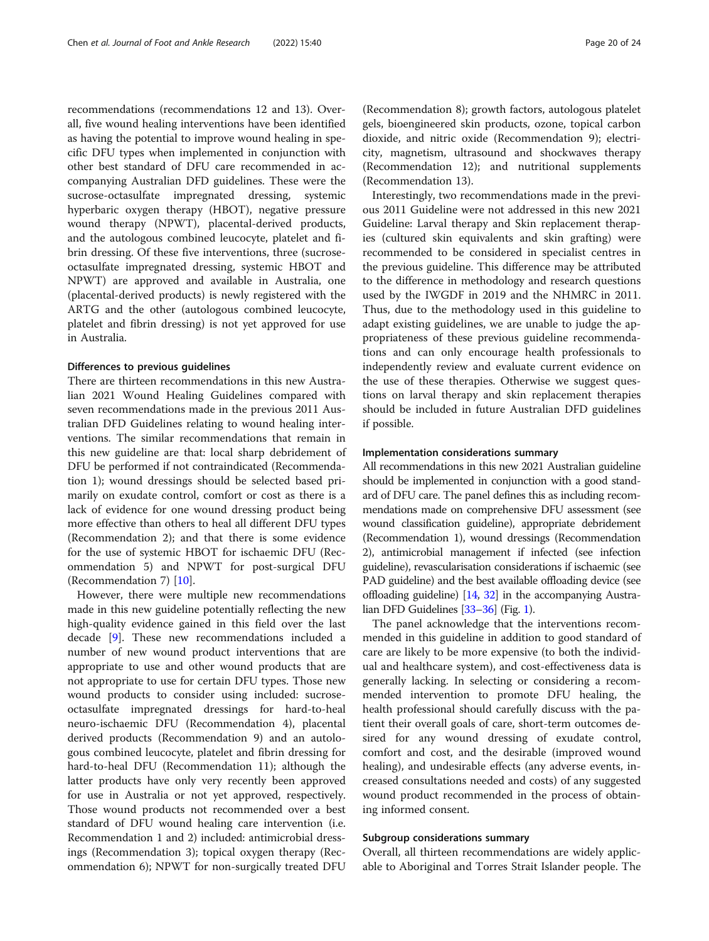recommendations (recommendations 12 and 13). Overall, five wound healing interventions have been identified as having the potential to improve wound healing in specific DFU types when implemented in conjunction with other best standard of DFU care recommended in accompanying Australian DFD guidelines. These were the sucrose-octasulfate impregnated dressing, systemic hyperbaric oxygen therapy (HBOT), negative pressure wound therapy (NPWT), placental-derived products, and the autologous combined leucocyte, platelet and fibrin dressing. Of these five interventions, three (sucroseoctasulfate impregnated dressing, systemic HBOT and NPWT) are approved and available in Australia, one (placental-derived products) is newly registered with the ARTG and the other (autologous combined leucocyte, platelet and fibrin dressing) is not yet approved for use in Australia.

#### Differences to previous guidelines

There are thirteen recommendations in this new Australian 2021 Wound Healing Guidelines compared with seven recommendations made in the previous 2011 Australian DFD Guidelines relating to wound healing interventions. The similar recommendations that remain in this new guideline are that: local sharp debridement of DFU be performed if not contraindicated (Recommendation 1); wound dressings should be selected based primarily on exudate control, comfort or cost as there is a lack of evidence for one wound dressing product being more effective than others to heal all different DFU types (Recommendation 2); and that there is some evidence for the use of systemic HBOT for ischaemic DFU (Recommendation 5) and NPWT for post-surgical DFU (Recommendation 7) [[10\]](#page-22-0).

However, there were multiple new recommendations made in this new guideline potentially reflecting the new high-quality evidence gained in this field over the last decade [\[9](#page-22-0)]. These new recommendations included a number of new wound product interventions that are appropriate to use and other wound products that are not appropriate to use for certain DFU types. Those new wound products to consider using included: sucroseoctasulfate impregnated dressings for hard-to-heal neuro-ischaemic DFU (Recommendation 4), placental derived products (Recommendation 9) and an autologous combined leucocyte, platelet and fibrin dressing for hard-to-heal DFU (Recommendation 11); although the latter products have only very recently been approved for use in Australia or not yet approved, respectively. Those wound products not recommended over a best standard of DFU wound healing care intervention (i.e. Recommendation 1 and 2) included: antimicrobial dressings (Recommendation 3); topical oxygen therapy (Recommendation 6); NPWT for non-surgically treated DFU (Recommendation 8); growth factors, autologous platelet gels, bioengineered skin products, ozone, topical carbon dioxide, and nitric oxide (Recommendation 9); electricity, magnetism, ultrasound and shockwaves therapy (Recommendation 12); and nutritional supplements (Recommendation 13).

Interestingly, two recommendations made in the previous 2011 Guideline were not addressed in this new 2021 Guideline: Larval therapy and Skin replacement therapies (cultured skin equivalents and skin grafting) were recommended to be considered in specialist centres in the previous guideline. This difference may be attributed to the difference in methodology and research questions used by the IWGDF in 2019 and the NHMRC in 2011. Thus, due to the methodology used in this guideline to adapt existing guidelines, we are unable to judge the appropriateness of these previous guideline recommendations and can only encourage health professionals to independently review and evaluate current evidence on the use of these therapies. Otherwise we suggest questions on larval therapy and skin replacement therapies should be included in future Australian DFD guidelines if possible.

#### Implementation considerations summary

All recommendations in this new 2021 Australian guideline should be implemented in conjunction with a good standard of DFU care. The panel defines this as including recommendations made on comprehensive DFU assessment (see wound classification guideline), appropriate debridement (Recommendation 1), wound dressings (Recommendation 2), antimicrobial management if infected (see infection guideline), revascularisation considerations if ischaemic (see PAD guideline) and the best available offloading device (see offloading guideline) [[14](#page-22-0), [32](#page-23-0)] in the accompanying Australian DFD Guidelines [\[33](#page-23-0)–[36\]](#page-23-0) (Fig. [1\)](#page-20-0).

The panel acknowledge that the interventions recommended in this guideline in addition to good standard of care are likely to be more expensive (to both the individual and healthcare system), and cost-effectiveness data is generally lacking. In selecting or considering a recommended intervention to promote DFU healing, the health professional should carefully discuss with the patient their overall goals of care, short-term outcomes desired for any wound dressing of exudate control, comfort and cost, and the desirable (improved wound healing), and undesirable effects (any adverse events, increased consultations needed and costs) of any suggested wound product recommended in the process of obtaining informed consent.

#### Subgroup considerations summary

Overall, all thirteen recommendations are widely applicable to Aboriginal and Torres Strait Islander people. The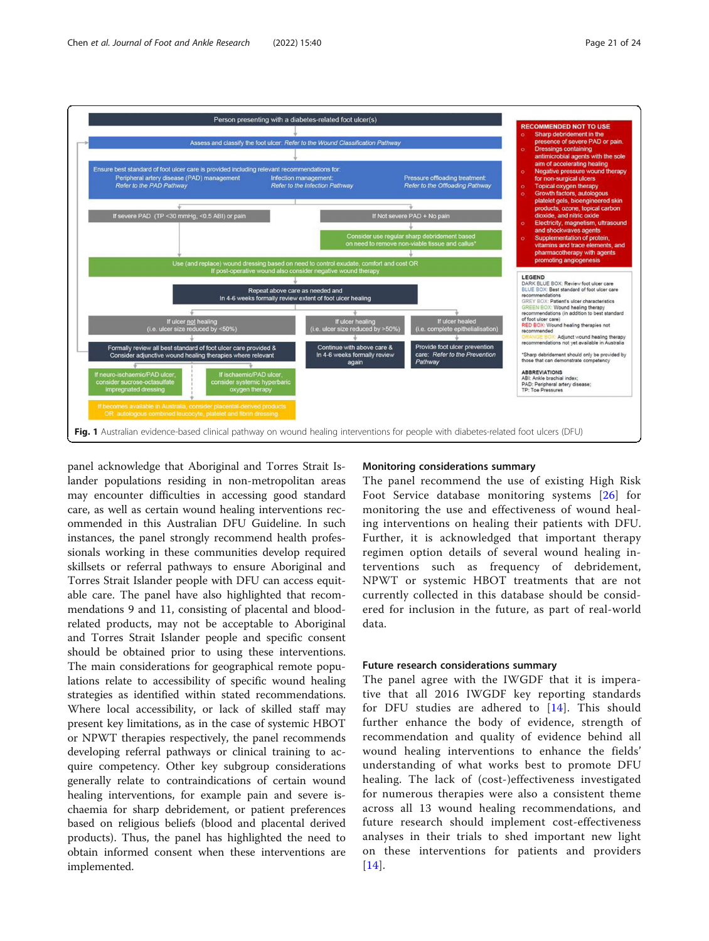

<span id="page-20-0"></span>

panel acknowledge that Aboriginal and Torres Strait Islander populations residing in non-metropolitan areas may encounter difficulties in accessing good standard care, as well as certain wound healing interventions recommended in this Australian DFU Guideline. In such instances, the panel strongly recommend health professionals working in these communities develop required skillsets or referral pathways to ensure Aboriginal and Torres Strait Islander people with DFU can access equitable care. The panel have also highlighted that recommendations 9 and 11, consisting of placental and bloodrelated products, may not be acceptable to Aboriginal and Torres Strait Islander people and specific consent should be obtained prior to using these interventions. The main considerations for geographical remote populations relate to accessibility of specific wound healing strategies as identified within stated recommendations. Where local accessibility, or lack of skilled staff may present key limitations, as in the case of systemic HBOT or NPWT therapies respectively, the panel recommends developing referral pathways or clinical training to acquire competency. Other key subgroup considerations generally relate to contraindications of certain wound healing interventions, for example pain and severe ischaemia for sharp debridement, or patient preferences based on religious beliefs (blood and placental derived products). Thus, the panel has highlighted the need to obtain informed consent when these interventions are implemented.

# Monitoring considerations summary

The panel recommend the use of existing High Risk Foot Service database monitoring systems [[26\]](#page-23-0) for monitoring the use and effectiveness of wound healing interventions on healing their patients with DFU. Further, it is acknowledged that important therapy regimen option details of several wound healing interventions such as frequency of debridement, NPWT or systemic HBOT treatments that are not currently collected in this database should be considered for inclusion in the future, as part of real-world data.

# Future research considerations summary

The panel agree with the IWGDF that it is imperative that all 2016 IWGDF key reporting standards for DFU studies are adhered to [[14](#page-22-0)]. This should further enhance the body of evidence, strength of recommendation and quality of evidence behind all wound healing interventions to enhance the fields' understanding of what works best to promote DFU healing. The lack of (cost-)effectiveness investigated for numerous therapies were also a consistent theme across all 13 wound healing recommendations, and future research should implement cost-effectiveness analyses in their trials to shed important new light on these interventions for patients and providers [[14](#page-22-0)].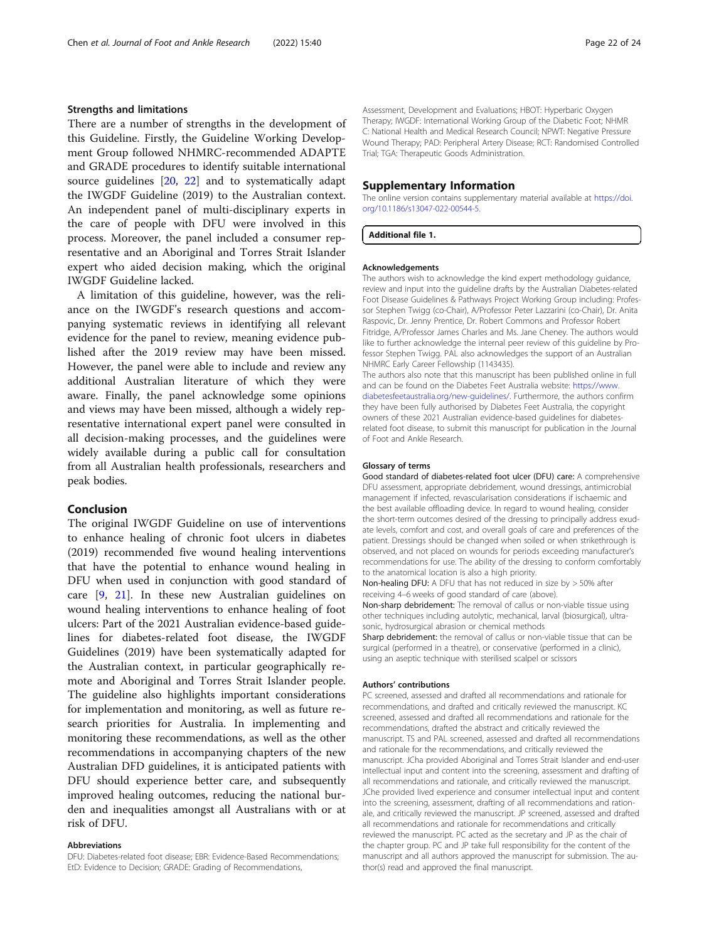# Strengths and limitations

There are a number of strengths in the development of this Guideline. Firstly, the Guideline Working Development Group followed NHMRC-recommended ADAPTE and GRADE procedures to identify suitable international source guidelines [[20,](#page-22-0) [22\]](#page-22-0) and to systematically adapt the IWGDF Guideline (2019) to the Australian context. An independent panel of multi-disciplinary experts in the care of people with DFU were involved in this process. Moreover, the panel included a consumer representative and an Aboriginal and Torres Strait Islander expert who aided decision making, which the original IWGDF Guideline lacked.

A limitation of this guideline, however, was the reliance on the IWGDF's research questions and accompanying systematic reviews in identifying all relevant evidence for the panel to review, meaning evidence published after the 2019 review may have been missed. However, the panel were able to include and review any additional Australian literature of which they were aware. Finally, the panel acknowledge some opinions and views may have been missed, although a widely representative international expert panel were consulted in all decision-making processes, and the guidelines were widely available during a public call for consultation from all Australian health professionals, researchers and peak bodies.

# Conclusion

The original IWGDF Guideline on use of interventions to enhance healing of chronic foot ulcers in diabetes (2019) recommended five wound healing interventions that have the potential to enhance wound healing in DFU when used in conjunction with good standard of care [\[9](#page-22-0), [21](#page-22-0)]. In these new Australian guidelines on wound healing interventions to enhance healing of foot ulcers: Part of the 2021 Australian evidence-based guidelines for diabetes-related foot disease, the IWGDF Guidelines (2019) have been systematically adapted for the Australian context, in particular geographically remote and Aboriginal and Torres Strait Islander people. The guideline also highlights important considerations for implementation and monitoring, as well as future research priorities for Australia. In implementing and monitoring these recommendations, as well as the other recommendations in accompanying chapters of the new Australian DFD guidelines, it is anticipated patients with DFU should experience better care, and subsequently improved healing outcomes, reducing the national burden and inequalities amongst all Australians with or at risk of DFU.

#### Abbreviations

DFU: Diabetes-related foot disease; EBR: Evidence-Based Recommendations; EtD: Evidence to Decision; GRADE: Grading of Recommendations,

Assessment, Development and Evaluations; HBOT: Hyperbaric Oxygen Therapy; IWGDF: International Working Group of the Diabetic Foot; NHMR C: National Health and Medical Research Council; NPWT: Negative Pressure Wound Therapy; PAD: Peripheral Artery Disease; RCT: Randomised Controlled Trial; TGA: Therapeutic Goods Administration.

# Supplementary Information

The online version contains supplementary material available at [https://doi.](https://doi.org/10.1186/s13047-022-00544-5) [org/10.1186/s13047-022-00544-5.](https://doi.org/10.1186/s13047-022-00544-5)

#### Additional file 1.

#### Acknowledgements

The authors wish to acknowledge the kind expert methodology guidance, review and input into the guideline drafts by the Australian Diabetes-related Foot Disease Guidelines & Pathways Project Working Group including: Professor Stephen Twigg (co-Chair), A/Professor Peter Lazzarini (co-Chair), Dr. Anita Raspovic, Dr. Jenny Prentice, Dr. Robert Commons and Professor Robert Fitridge, A/Professor James Charles and Ms. Jane Cheney. The authors would like to further acknowledge the internal peer review of this guideline by Professor Stephen Twigg. PAL also acknowledges the support of an Australian NHMRC Early Career Fellowship (1143435).

The authors also note that this manuscript has been published online in full and can be found on the Diabetes Feet Australia website: [https://www.](https://www.diabetesfeetaustralia.org/new-guidelines/) [diabetesfeetaustralia.org/new-guidelines/](https://www.diabetesfeetaustralia.org/new-guidelines/). Furthermore, the authors confirm they have been fully authorised by Diabetes Feet Australia, the copyright owners of these 2021 Australian evidence-based guidelines for diabetesrelated foot disease, to submit this manuscript for publication in the Journal of Foot and Ankle Research.

#### Glossary of terms

Good standard of diabetes-related foot ulcer (DFU) care: A comprehensive DFU assessment, appropriate debridement, wound dressings, antimicrobial management if infected, revascularisation considerations if ischaemic and the best available offloading device. In regard to wound healing, consider the short-term outcomes desired of the dressing to principally address exudate levels, comfort and cost, and overall goals of care and preferences of the patient. Dressings should be changed when soiled or when strikethrough is observed, and not placed on wounds for periods exceeding manufacturer's recommendations for use. The ability of the dressing to conform comfortably to the anatomical location is also a high priority.

Non-healing DFU: A DFU that has not reduced in size by > 50% after receiving 4–6 weeks of good standard of care (above).

Non-sharp debridement: The removal of callus or non-viable tissue using other techniques including autolytic, mechanical, larval (biosurgical), ultrasonic, hydrosurgical abrasion or chemical methods

Sharp debridement: the removal of callus or non-viable tissue that can be surgical (performed in a theatre), or conservative (performed in a clinic), using an aseptic technique with sterilised scalpel or scissors

#### Authors' contributions

PC screened, assessed and drafted all recommendations and rationale for recommendations, and drafted and critically reviewed the manuscript. KC screened, assessed and drafted all recommendations and rationale for the recommendations, drafted the abstract and critically reviewed the manuscript. TS and PAL screened, assessed and drafted all recommendations and rationale for the recommendations, and critically reviewed the manuscript. JCha provided Aboriginal and Torres Strait Islander and end-user intellectual input and content into the screening, assessment and drafting of all recommendations and rationale, and critically reviewed the manuscript. JChe provided lived experience and consumer intellectual input and content into the screening, assessment, drafting of all recommendations and rationale, and critically reviewed the manuscript. JP screened, assessed and drafted all recommendations and rationale for recommendations and critically reviewed the manuscript. PC acted as the secretary and JP as the chair of the chapter group. PC and JP take full responsibility for the content of the manuscript and all authors approved the manuscript for submission. The author(s) read and approved the final manuscript.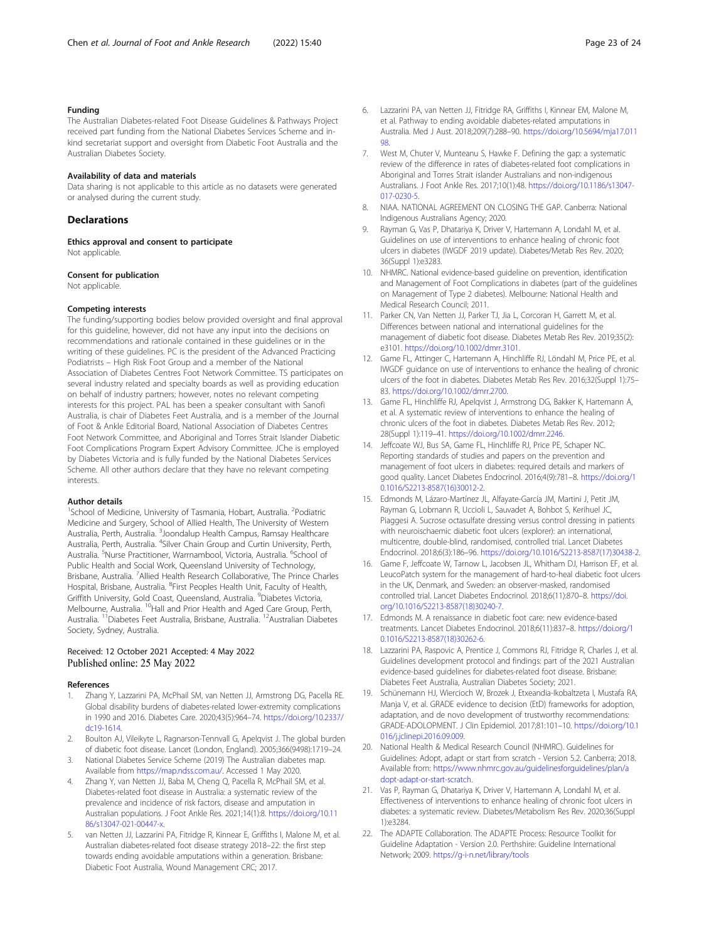#### <span id="page-22-0"></span>Funding

The Australian Diabetes-related Foot Disease Guidelines & Pathways Project received part funding from the National Diabetes Services Scheme and inkind secretariat support and oversight from Diabetic Foot Australia and the Australian Diabetes Society.

#### Availability of data and materials

Data sharing is not applicable to this article as no datasets were generated or analysed during the current study.

# Declarations

Ethics approval and consent to participate Not applicable.

#### Consent for publication

Not applicable.

#### Competing interests

The funding/supporting bodies below provided oversight and final approval for this guideline, however, did not have any input into the decisions on recommendations and rationale contained in these guidelines or in the writing of these guidelines. PC is the president of the Advanced Practicing Podiatrists – High Risk Foot Group and a member of the National Association of Diabetes Centres Foot Network Committee. TS participates on several industry related and specialty boards as well as providing education on behalf of industry partners; however, notes no relevant competing interests for this project. PAL has been a speaker consultant with Sanofi Australia, is chair of Diabetes Feet Australia, and is a member of the Journal of Foot & Ankle Editorial Board, National Association of Diabetes Centres Foot Network Committee, and Aboriginal and Torres Strait Islander Diabetic Foot Complications Program Expert Advisory Committee. JChe is employed by Diabetes Victoria and is fully funded by the National Diabetes Services Scheme. All other authors declare that they have no relevant competing interests.

#### Author details

<sup>1</sup>School of Medicine, University of Tasmania, Hobart, Australia. <sup>2</sup>Podiatric Medicine and Surgery, School of Allied Health, The University of Western Australia, Perth, Australia. <sup>3</sup>Joondalup Health Campus, Ramsay Healthcare<br>Australia, Perth, Australia. <sup>4</sup>Silver Chain Group and Curtin University, Perth, Australia. <sup>5</sup>Nurse Practitioner, Warrnambool, Victoria, Australia. <sup>6</sup>School of Public Health and Social Work, Queensland University of Technology, Brisbane, Australia. <sup>7</sup> Allied Health Research Collaborative, The Prince Charles Hospital, Brisbane, Australia. <sup>8</sup>First Peoples Health Unit, Faculty of Health, Griffith University, Gold Coast, Queensland, Australia. <sup>9</sup>Diabetes Victoria, Melbourne, Australia. <sup>10</sup>Hall and Prior Health and Aged Care Group, Perth, Australia. 11Diabetes Feet Australia, Brisbane, Australia. 12Australian Diabetes Society, Sydney, Australia.

#### Received: 12 October 2021 Accepted: 4 May 2022 Published online: 25 May 2022

#### References

- 1. Zhang Y, Lazzarini PA, McPhail SM, van Netten JJ, Armstrong DG, Pacella RE. Global disability burdens of diabetes-related lower-extremity complications in 1990 and 2016. Diabetes Care. 2020;43(5):964–74. [https://doi.org/10.2337/](https://doi.org/10.2337/dc19-1614) [dc19-1614](https://doi.org/10.2337/dc19-1614).
- 2. Boulton AJ, Vileikyte L, Ragnarson-Tennvall G, Apelqvist J. The global burden of diabetic foot disease. Lancet (London, England). 2005;366(9498):1719–24.
- 3. National Diabetes Service Scheme (2019) The Australian diabetes map. Available from [https://map.ndss.com.au/.](https://map.ndss.com.au/) Accessed 1 May 2020.
- 4. Zhang Y, van Netten JJ, Baba M, Cheng Q, Pacella R, McPhail SM, et al. Diabetes-related foot disease in Australia: a systematic review of the prevalence and incidence of risk factors, disease and amputation in Australian populations. J Foot Ankle Res. 2021;14(1):8. [https://doi.org/10.11](https://doi.org/10.1186/s13047-021-00447-x) [86/s13047-021-00447-x](https://doi.org/10.1186/s13047-021-00447-x).
- van Netten JJ, Lazzarini PA, Fitridge R, Kinnear E, Griffiths I, Malone M, et al. Australian diabetes-related foot disease strategy 2018–22: the first step towards ending avoidable amputations within a generation. Brisbane: Diabetic Foot Australia, Wound Management CRC; 2017.
- 6. Lazzarini PA, van Netten JJ, Fitridge RA, Griffiths I, Kinnear EM, Malone M, et al. Pathway to ending avoidable diabetes-related amputations in Australia. Med J Aust. 2018;209(7):288–90. [https://doi.org/10.5694/mja17.011](https://doi.org/10.5694/mja17.01198) 08<sup>.</sup>
- 7. West M, Chuter V, Munteanu S, Hawke F. Defining the gap: a systematic review of the difference in rates of diabetes-related foot complications in Aboriginal and Torres Strait islander Australians and non-indigenous Australians. J Foot Ankle Res. 2017;10(1):48. [https://doi.org/10.1186/s13047-](https://doi.org/10.1186/s13047-017-0230-5) [017-0230-5](https://doi.org/10.1186/s13047-017-0230-5).
- 8. NIAA. NATIONAL AGREEMENT ON CLOSING THE GAP. Canberra: National Indigenous Australians Agency; 2020.
- 9. Rayman G, Vas P, Dhatariya K, Driver V, Hartemann A, Londahl M, et al. Guidelines on use of interventions to enhance healing of chronic foot ulcers in diabetes (IWGDF 2019 update). Diabetes/Metab Res Rev. 2020; 36(Suppl 1):e3283.
- 10. NHMRC. National evidence-based guideline on prevention, identification and Management of Foot Complications in diabetes (part of the guidelines on Management of Type 2 diabetes). Melbourne: National Health and Medical Research Council; 2011.
- 11. Parker CN, Van Netten JJ, Parker TJ, Jia L, Corcoran H, Garrett M, et al. Differences between national and international guidelines for the management of diabetic foot disease. Diabetes Metab Res Rev. 2019;35(2): e3101. [https://doi.org/10.1002/dmrr.3101.](https://doi.org/10.1002/dmrr.3101)
- 12. Game FL, Attinger C, Hartemann A, Hinchliffe RJ, Löndahl M, Price PE, et al. IWGDF guidance on use of interventions to enhance the healing of chronic ulcers of the foot in diabetes. Diabetes Metab Res Rev. 2016;32(Suppl 1):75– 83. [https://doi.org/10.1002/dmrr.2700.](https://doi.org/10.1002/dmrr.2700)
- 13. Game FL, Hinchliffe RJ, Apelqvist J, Armstrong DG, Bakker K, Hartemann A, et al. A systematic review of interventions to enhance the healing of chronic ulcers of the foot in diabetes. Diabetes Metab Res Rev. 2012; 28(Suppl 1):119–41. [https://doi.org/10.1002/dmrr.2246.](https://doi.org/10.1002/dmrr.2246)
- 14. Jeffcoate WJ, Bus SA, Game FL, Hinchliffe RJ, Price PE, Schaper NC. Reporting standards of studies and papers on the prevention and management of foot ulcers in diabetes: required details and markers of good quality. Lancet Diabetes Endocrinol. 2016;4(9):781–8. [https://doi.org/1](https://doi.org/10.1016/S2213-8587(16)30012-2) [0.1016/S2213-8587\(16\)30012-2](https://doi.org/10.1016/S2213-8587(16)30012-2).
- 15. Edmonds M, Lázaro-Martínez JL, Alfayate-García JM, Martini J, Petit JM, Rayman G, Lobmann R, Uccioli L, Sauvadet A, Bohbot S, Kerihuel JC, Piaggesi A. Sucrose octasulfate dressing versus control dressing in patients with neuroischaemic diabetic foot ulcers (explorer): an international, multicentre, double-blind, randomised, controlled trial. Lancet Diabetes Endocrinol. 2018;6(3):186–96. [https://doi.org/10.1016/S2213-8587\(17\)30438-2.](https://doi.org/10.1016/S2213-8587(17)30438-2)
- 16. Game F, Jeffcoate W, Tarnow L, Jacobsen JL, Whitham DJ, Harrison EF, et al. LeucoPatch system for the management of hard-to-heal diabetic foot ulcers in the UK, Denmark, and Sweden: an observer-masked, randomised controlled trial. Lancet Diabetes Endocrinol. 2018;6(11):870–8. [https://doi.](https://doi.org/10.1016/S2213-8587(18)30240-7) [org/10.1016/S2213-8587\(18\)30240-7.](https://doi.org/10.1016/S2213-8587(18)30240-7)
- 17. Edmonds M. A renaissance in diabetic foot care: new evidence-based treatments. Lancet Diabetes Endocrinol. 2018;6(11):837–8. [https://doi.org/1](https://doi.org/10.1016/S2213-8587(18)30262-6) [0.1016/S2213-8587\(18\)30262-6](https://doi.org/10.1016/S2213-8587(18)30262-6).
- 18. Lazzarini PA, Raspovic A, Prentice J, Commons RJ, Fitridge R, Charles J, et al. Guidelines development protocol and findings: part of the 2021 Australian evidence-based guidelines for diabetes-related foot disease. Brisbane: Diabetes Feet Australia, Australian Diabetes Society; 2021.
- 19. Schünemann HJ, Wiercioch W, Brozek J, Etxeandia-Ikobaltzeta I, Mustafa RA, Manja V, et al. GRADE evidence to decision (EtD) frameworks for adoption, adaptation, and de novo development of trustworthy recommendations: GRADE-ADOLOPMENT. J Clin Epidemiol. 2017;81:101–10. [https://doi.org/10.1](https://doi.org/10.1016/j.jclinepi.2016.09.009) [016/j.jclinepi.2016.09.009](https://doi.org/10.1016/j.jclinepi.2016.09.009).
- 20. National Health & Medical Research Council (NHMRC). Guidelines for Guidelines: Adopt, adapt or start from scratch - Version 5.2. Canberra; 2018. Available from: [https://www.nhmrc.gov.au/guidelinesforguidelines/plan/a](https://www.nhmrc.gov.au/guidelinesforguidelines/plan/adopt-adapt-or-start-scratch) [dopt-adapt-or-start-scratch](https://www.nhmrc.gov.au/guidelinesforguidelines/plan/adopt-adapt-or-start-scratch).
- 21. Vas P, Rayman G, Dhatariya K, Driver V, Hartemann A, Londahl M, et al. Effectiveness of interventions to enhance healing of chronic foot ulcers in diabetes: a systematic review. Diabetes/Metabolism Res Rev. 2020;36(Suppl 1):e3284.
- 22. The ADAPTE Collaboration. The ADAPTE Process: Resource Toolkit for Guideline Adaptation - Version 2.0. Perthshire: Guideline International Network; 2009. <https://g-i-n.net/library/tools>